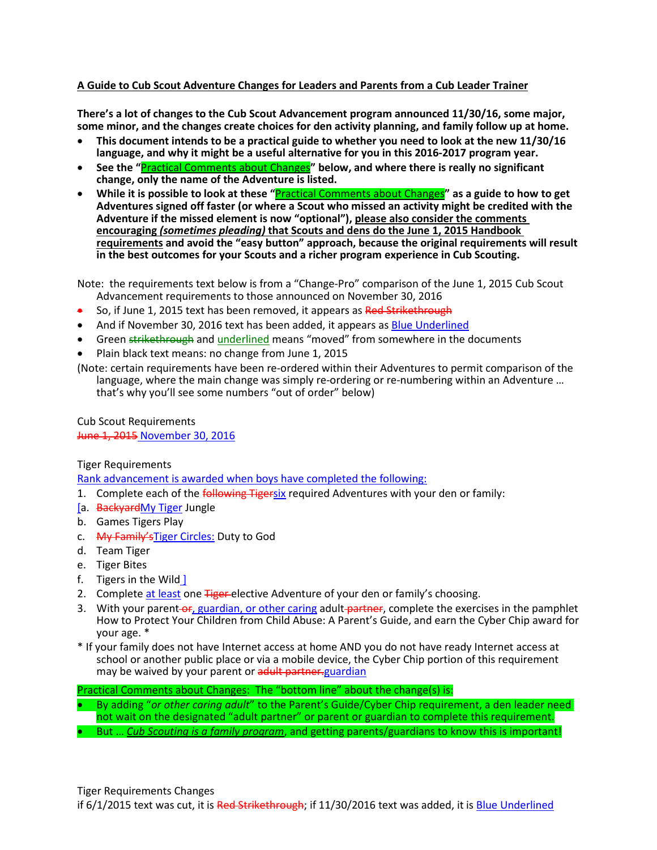# **A Guide to Cub Scout Adventure Changes for Leaders and Parents from a Cub Leader Trainer**

**There's a lot of changes to the Cub Scout Advancement program announced 11/30/16, some major, some minor, and the changes create choices for den activity planning, and family follow up at home.** 

- **This document intends to be a practical guide to whether you need to look at the new 11/30/16 language, and why it might be a useful alternative for you in this 2016-2017 program year.**
- **See the "**Practical Comments about Changes**" below, and where there is really no significant change, only the name of the Adventure is listed.**
- **While it is possible to look at these "**Practical Comments about Changes**" as a guide to how to get Adventures signed off faster (or where a Scout who missed an activity might be credited with the Adventure if the missed element is now "optional"), please also consider the comments encouraging** *(sometimes pleading)* **that Scouts and dens do the June 1, 2015 Handbook requirements and avoid the "easy button" approach, because the original requirements will result in the best outcomes for your Scouts and a richer program experience in Cub Scouting.**

Note: the requirements text below is from a "Change-Pro" comparison of the June 1, 2015 Cub Scout Advancement requirements to those announced on November 30, 2016

- So, if June 1, 2015 text has been removed, it appears as Red Strikethrough
- And if November 30, 2016 text has been added, it appears as Blue Underlined
- Green strikethrough and underlined means "moved" from somewhere in the documents
- Plain black text means: no change from June 1, 2015
- (Note: certain requirements have been re-ordered within their Adventures to permit comparison of the language, where the main change was simply re-ordering or re-numbering within an Adventure … that's why you'll see some numbers "out of order" below)

Cub Scout Requirements June 1, 2015 November 30, 2016

Tiger Requirements

Rank advancement is awarded when boys have completed the following:

- 1. Complete each of the *following Tigersix* required Adventures with your den or family:
- [a. BackyardMy Tiger Jungle
- b. Games Tigers Play
- c. My Family's Tiger Circles: Duty to God
- d. Team Tiger
- e. Tiger Bites
- f. Tigers in the Wild ]
- 2. Complete at least one **Tiger** elective Adventure of your den or family's choosing.
- 3. With your parent-or, guardian, or other caring adult-partner, complete the exercises in the pamphlet How to Protect Your Children from Child Abuse: A Parent's Guide, and earn the Cyber Chip award for your age. \*
- \* If your family does not have Internet access at home AND you do not have ready Internet access at school or another public place or via a mobile device, the Cyber Chip portion of this requirement may be waived by your parent or adult partner-guardian

Practical Comments about Changes: The "bottom line" about the change(s) is:

• By adding "*or other caring adult*" to the Parent's Guide/Cyber Chip requirement, a den leader need not wait on the designated "adult partner" or parent or guardian to complete this requirement. • But … *Cub Scouting is a family program*, and getting parents/guardians to know this is important!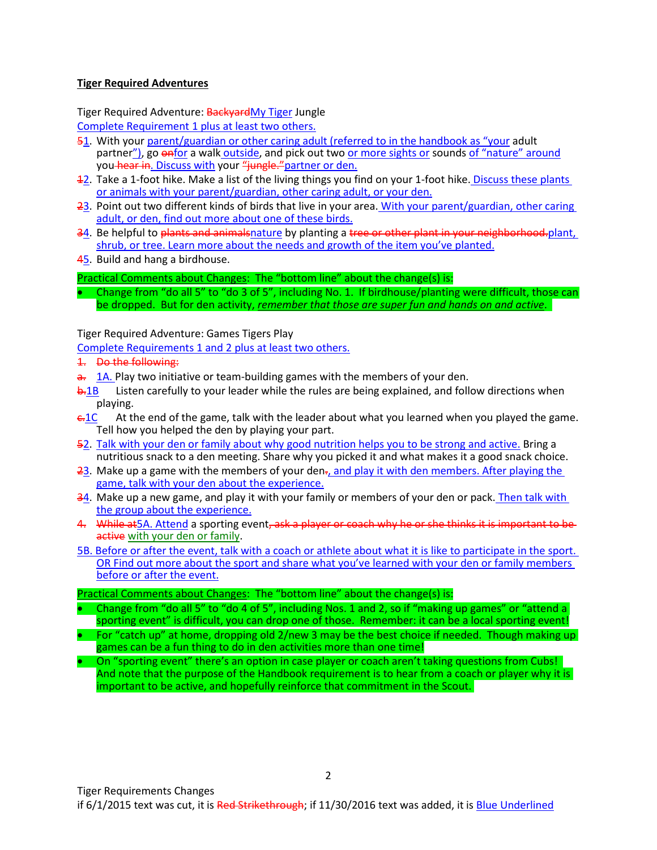# **Tiger Required Adventures**

Tiger Required Adventure: **BackyardMy Tiger Jungle** Complete Requirement 1 plus at least two others.

- 51. With your parent/guardian or other caring adult (referred to in the handbook as "your adult partner"), go enfor a walk outside, and pick out two or more sights or sounds of "nature" around you hear in. Discuss with your "jungle." partner or den.
- 12. Take a 1-foot hike. Make a list of the living things you find on your 1-foot hike. Discuss these plants or animals with your parent/guardian, other caring adult, or your den.
- 23. Point out two different kinds of birds that live in your area. With your parent/guardian, other caring adult, or den, find out more about one of these birds.
- 34. Be helpful to plants and animalsnature by planting a tree or other plant in your neighborhood.plant, shrub, or tree. Learn more about the needs and growth of the item you've planted.
- 45. Build and hang a birdhouse.

Practical Comments about Changes: The "bottom line" about the change(s) is:

• Change from "do all 5" to "do 3 of 5", including No. 1. If birdhouse/planting were difficult, those can be dropped. But for den activity, *remember that those are super fun and hands on and active*.

Tiger Required Adventure: Games Tigers Play

Complete Requirements 1 and 2 plus at least two others.

- 1. Do the following:
- $\frac{a}{a}$ . **1A.** Play two initiative or team-building games with the members of your den.
- $b.1B$  Listen carefully to your leader while the rules are being explained, and follow directions when playing.
- $\frac{c.1C}{\sqrt{c}}$  At the end of the game, talk with the leader about what you learned when you played the game. Tell how you helped the den by playing your part.
- 52. Talk with your den or family about why good nutrition helps you to be strong and active. Bring a nutritious snack to a den meeting. Share why you picked it and what makes it a good snack choice.
- $23$ . Make up a game with the members of your den $\tau$ , and play it with den members. After playing the game, talk with your den about the experience.
- 34. Make up a new game, and play it with your family or members of your den or pack. Then talk with the group about the experience.
- 4. While at 5A. Attend a sporting event, ask a player or coach why he or she thinks it is important to be active with your den or family.
- 5B. Before or after the event, talk with a coach or athlete about what it is like to participate in the sport. OR Find out more about the sport and share what you've learned with your den or family members before or after the event.

#### Practical Comments about Changes: The "bottom line" about the change(s) is:

- Change from "do all 5" to "do 4 of 5", including Nos. 1 and 2, so if "making up games" or "attend a sporting event" is difficult, you can drop one of those. Remember: it can be a local sporting event!
- For "catch up" at home, dropping old 2/new 3 may be the best choice if needed. Though making up games can be a fun thing to do in den activities more than one time!
- On "sporting event" there's an option in case player or coach aren't taking questions from Cubs! And note that the purpose of the Handbook requirement is to hear from a coach or player why it is important to be active, and hopefully reinforce that commitment in the Scout.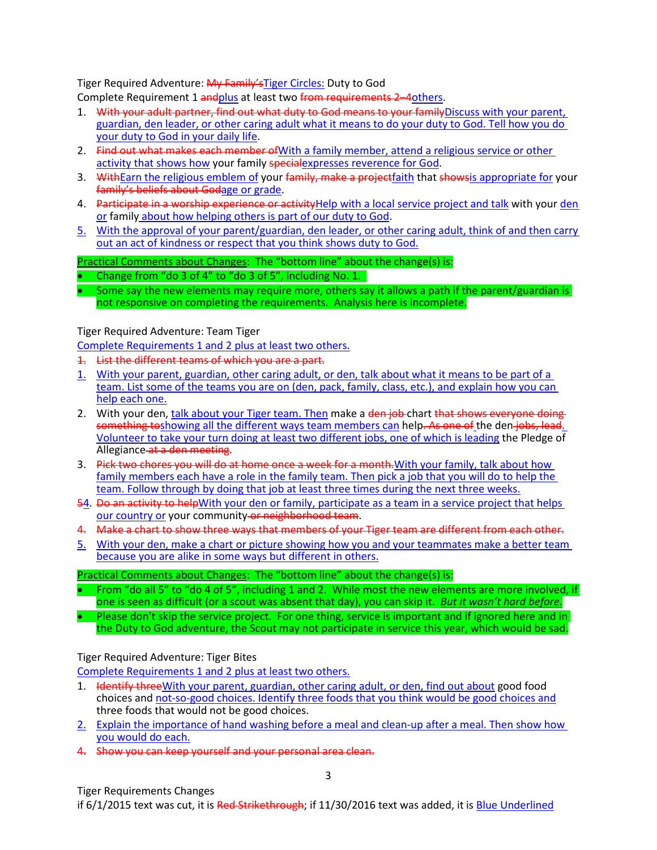Tiger Required Adventure: My Family's Tiger Circles: Duty to God

Complete Requirement 1 and plus at least two from requirements 2-4 others.

- 1. With your adult partner, find out what duty to God means to your family Discuss with your parent, guardian, den leader, or other caring adult what it means to do your duty to God. Tell how you do your duty to God in your daily life.
- 2. Find out what makes each member of With a family member, attend a religious service or other activity that shows how your family special expresses reverence for God.
- 3. WithEarn the religious emblem of your family, make a projectfaith that showsis appropriate for your family's beliefs about Godage or grade.
- 4. Participate in a worship experience or activity Help with a local service project and talk with your den or family about how helping others is part of our duty to God.
- 5. With the approval of your parent/guardian, den leader, or other caring adult, think of and then carry out an act of kindness or respect that you think shows duty to God.

# Practical Comments about Changes: The "bottom line" about the change(s) is:

• Change from "do 3 of 4" to "do 3 of 5", including No. 1.

Some say the new elements may require more, others say it allows a path if the parent/guardian is not responsive on completing the requirements. Analysis here is incomplete.

# Tiger Required Adventure: Team Tiger

Complete Requirements 1 and 2 plus at least two others.

- 1. List the different teams of which you are a part.
- 1. With your parent, guardian, other caring adult, or den, talk about what it means to be part of a team. List some of the teams you are on (den, pack, family, class, etc.), and explain how you can help each one.
- 2. With your den, talk about your Tiger team. Then make a den job chart that shows everyone doing something toshowing all the different ways team members can help. As one of the den jobs, lead. Volunteer to take your turn doing at least two different jobs, one of which is leading the Pledge of Allegiance at a den meeting.
- 3. Pick two chores you will do at home once a week for a month. With your family, talk about how family members each have a role in the family team. Then pick a job that you will do to help the team. Follow through by doing that job at least three times during the next three weeks.
- 54. Do an activity to helpWith your den or family, participate as a team in a service project that helps our country or your community or neighborhood team.
- 4. Make a chart to show three ways that members of your Tiger team are different from each other.
- 5. With your den, make a chart or picture showing how you and your teammates make a better team because you are alike in some ways but different in others.

#### Practical Comments about Changes: The "bottom line" about the change(s) is:

- From "do all 5" to "do 4 of 5", including 1 and 2. While most the new elements are more involved, if one is seen as difficult (or a scout was absent that day), you can skip it. *But it wasn't hard before.*
- Please don't skip the service project. For one thing, service is important and if ignored here and in the Duty to God adventure, the Scout may not participate in service this year, which would be sad.

# Tiger Required Adventure: Tiger Bites

Complete Requirements 1 and 2 plus at least two others.

- 1. Hetalify three With your parent, guardian, other caring adult, or den, find out about good food choices and not-so-good choices. Identify three foods that you think would be good choices and three foods that would not be good choices.
- 2. Explain the importance of hand washing before a meal and clean-up after a meal. Then show how you would do each.
- 4. Show you can keep yourself and your personal area clean.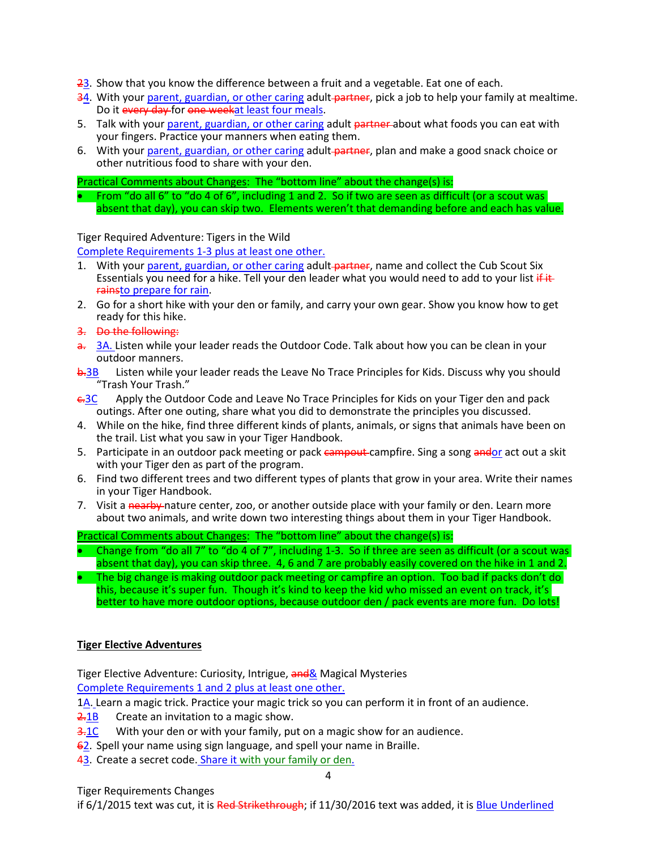- $23$ . Show that you know the difference between a fruit and a vegetable. Eat one of each.
- 34. With your parent, guardian, or other caring adult partner, pick a job to help your family at mealtime. Do it every day for one weekat least four meals.
- 5. Talk with your parent, guardian, or other caring adult partner about what foods you can eat with your fingers. Practice your manners when eating them.
- 6. With your parent, guardian, or other caring adult-partner, plan and make a good snack choice or other nutritious food to share with your den.

• From "do all 6" to "do 4 of 6", including 1 and 2. So if two are seen as difficult (or a scout was absent that day), you can skip two. Elements weren't that demanding before and each has value.

# Tiger Required Adventure: Tigers in the Wild

Complete Requirements 1-3 plus at least one other.

- 1. With your parent, guardian, or other caring adult-partner, name and collect the Cub Scout Six Essentials you need for a hike. Tell your den leader what you would need to add to your list if it rainsto prepare for rain.
- 2. Go for a short hike with your den or family, and carry your own gear. Show you know how to get ready for this hike.
- 3. Do the following:
- a. 3A. Listen while your leader reads the Outdoor Code. Talk about how you can be clean in your outdoor manners.
- b.3B Listen while your leader reads the Leave No Trace Principles for Kids. Discuss why you should "Trash Your Trash."
- $\epsilon$ 3C Apply the Outdoor Code and Leave No Trace Principles for Kids on your Tiger den and pack outings. After one outing, share what you did to demonstrate the principles you discussed.
- 4. While on the hike, find three different kinds of plants, animals, or signs that animals have been on the trail. List what you saw in your Tiger Handbook.
- 5. Participate in an outdoor pack meeting or pack campout campfire. Sing a song andor act out a skit with your Tiger den as part of the program.
- 6. Find two different trees and two different types of plants that grow in your area. Write their names in your Tiger Handbook.
- 7. Visit a nearby nature center, zoo, or another outside place with your family or den. Learn more about two animals, and write down two interesting things about them in your Tiger Handbook.

Practical Comments about Changes: The "bottom line" about the change(s) is:

- Change from "do all 7" to "do 4 of 7", including 1-3. So if three are seen as difficult (or a scout was absent that day), you can skip three. 4, 6 and 7 are probably easily covered on the hike in 1 and 2.
- The big change is making outdoor pack meeting or campfire an option. Too bad if packs don't do this, because it's super fun. Though it's kind to keep the kid who missed an event on track, it's better to have more outdoor options, because outdoor den / pack events are more fun. Do lots!

# **Tiger Elective Adventures**

Tiger Elective Adventure: Curiosity, Intrigue, and & Magical Mysteries Complete Requirements 1 and 2 plus at least one other.

1A. Learn a magic trick. Practice your magic trick so you can perform it in front of an audience.

- 2.1B Create an invitation to a magic show.
- 3.1C With your den or with your family, put on a magic show for an audience.
- 62. Spell your name using sign language, and spell your name in Braille.
- 43. Create a secret code. Share it with your family or den.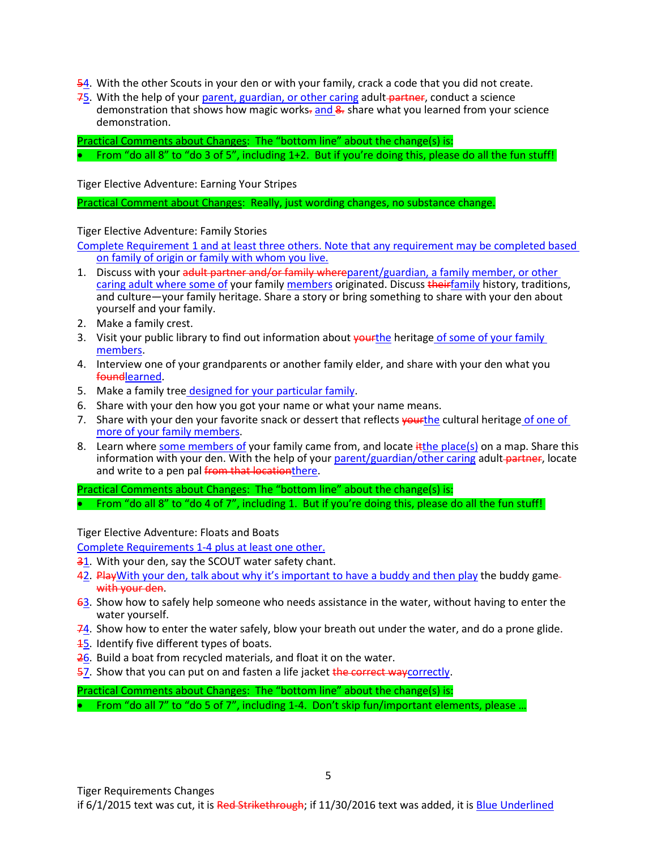- 54. With the other Scouts in your den or with your family, crack a code that you did not create.
- 75. With the help of your parent, guardian, or other caring adult-partner, conduct a science demonstration that shows how magic works-and  $\frac{1}{2}$  share what you learned from your science demonstration.

• From "do all 8" to "do 3 of 5", including 1+2. But if you're doing this, please do all the fun stuff!

Tiger Elective Adventure: Earning Your Stripes

Practical Comment about Changes: Really, just wording changes, no substance change.

Tiger Elective Adventure: Family Stories

Complete Requirement 1 and at least three others. Note that any requirement may be completed based on family of origin or family with whom you live.

- 1. Discuss with your adult partner and/or family whereparent/guardian, a family member, or other caring adult where some of your family members originated. Discuss theirfamily history, traditions, and culture—your family heritage. Share a story or bring something to share with your den about yourself and your family.
- 2. Make a family crest.
- 3. Visit your public library to find out information about vourthe heritage of some of your family members.
- 4. Interview one of your grandparents or another family elder, and share with your den what you foundlearned.
- 5. Make a family tree designed for your particular family.
- 6. Share with your den how you got your name or what your name means.
- 7. Share with your den your favorite snack or dessert that reflects vourthe cultural heritage of one of more of your family members.
- 8. Learn where some members of your family came from, and locate it the place(s) on a map. Share this information with your den. With the help of your parent/guardian/other caring adult-partner, locate and write to a pen pal from that locationthere.

Practical Comments about Changes: The "bottom line" about the change(s) is: • From "do all 8" to "do 4 of 7", including 1. But if you're doing this, please do all the fun stuff!

Tiger Elective Adventure: Floats and Boats

Complete Requirements 1-4 plus at least one other.

- 31. With your den, say the SCOUT water safety chant.
- 42. PlayWith your den, talk about why it's important to have a buddy and then play the buddy gamewith your den.
- $63$ . Show how to safely help someone who needs assistance in the water, without having to enter the water yourself.
- 74. Show how to enter the water safely, blow your breath out under the water, and do a prone glide.
- **15.** Identify five different types of boats.
- 26. Build a boat from recycled materials, and float it on the water.
- 57. Show that you can put on and fasten a life jacket the correct waycorrectly.

Practical Comments about Changes: The "bottom line" about the change(s) is: • From "do all 7" to "do 5 of 7", including 1-4. Don't skip fun/important elements, please ...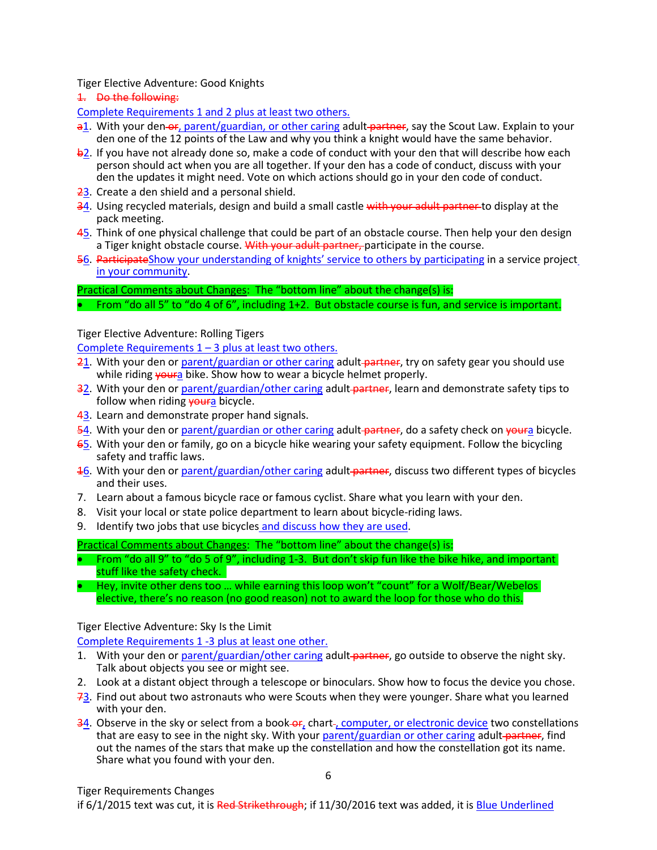Tiger Elective Adventure: Good Knights

1. Do the following:

Complete Requirements 1 and 2 plus at least two others.

- a1. With your den-or, parent/guardian, or other caring adult-partner, say the Scout Law. Explain to your den one of the 12 points of the Law and why you think a knight would have the same behavior.
- b2. If you have not already done so, make a code of conduct with your den that will describe how each person should act when you are all together. If your den has a code of conduct, discuss with your den the updates it might need. Vote on which actions should go in your den code of conduct.
- 23. Create a den shield and a personal shield.
- 34. Using recycled materials, design and build a small castle with your adult partner to display at the pack meeting.
- 45. Think of one physical challenge that could be part of an obstacle course. Then help your den design a Tiger knight obstacle course. With your adult partner, participate in the course.
- 56. ParticipateShow your understanding of knights' service to others by participating in a service project in your community.

Practical Comments about Changes: The "bottom line" about the change(s) is:

• From "do all 5" to "do 4 of 6", including 1+2. But obstacle course is fun, and service is important.

# Tiger Elective Adventure: Rolling Tigers

Complete Requirements  $1 - 3$  plus at least two others.

- 21. With your den or parent/guardian or other caring adult partner, try on safety gear you should use while riding **youra** bike. Show how to wear a bicycle helmet properly.
- 32. With your den or parent/guardian/other caring adult-partner, learn and demonstrate safety tips to follow when riding youra bicycle.
- 43. Learn and demonstrate proper hand signals.
- 54. With your den or parent/guardian or other caring adult-partner, do a safety check on youra bicycle.
- 65. With your den or family, go on a bicycle hike wearing your safety equipment. Follow the bicycling safety and traffic laws.
- 16. With your den or parent/guardian/other caring adult partner, discuss two different types of bicycles and their uses.
- 7. Learn about a famous bicycle race or famous cyclist. Share what you learn with your den.
- 8. Visit your local or state police department to learn about bicycle-riding laws.
- 9. Identify two jobs that use bicycles and discuss how they are used.

Practical Comments about Changes: The "bottom line" about the change(s) is:

- From "do all 9" to "do 5 of 9", including 1-3. But don't skip fun like the bike hike, and important stuff like the safety check.
- Hey, invite other dens too ... while earning this loop won't "count" for a Wolf/Bear/Webelos elective, there's no reason (no good reason) not to award the loop for those who do this.

# Tiger Elective Adventure: Sky Is the Limit

Complete Requirements 1 -3 plus at least one other.

- 1. With your den or parent/guardian/other caring adult partner, go outside to observe the night sky. Talk about objects you see or might see.
- 2. Look at a distant object through a telescope or binoculars. Show how to focus the device you chose.
- 73. Find out about two astronauts who were Scouts when they were younger. Share what you learned with your den.
- 34. Observe in the sky or select from a book-or, chart-, computer, or electronic device two constellations that are easy to see in the night sky. With your parent/guardian or other caring adult partner, find out the names of the stars that make up the constellation and how the constellation got its name. Share what you found with your den.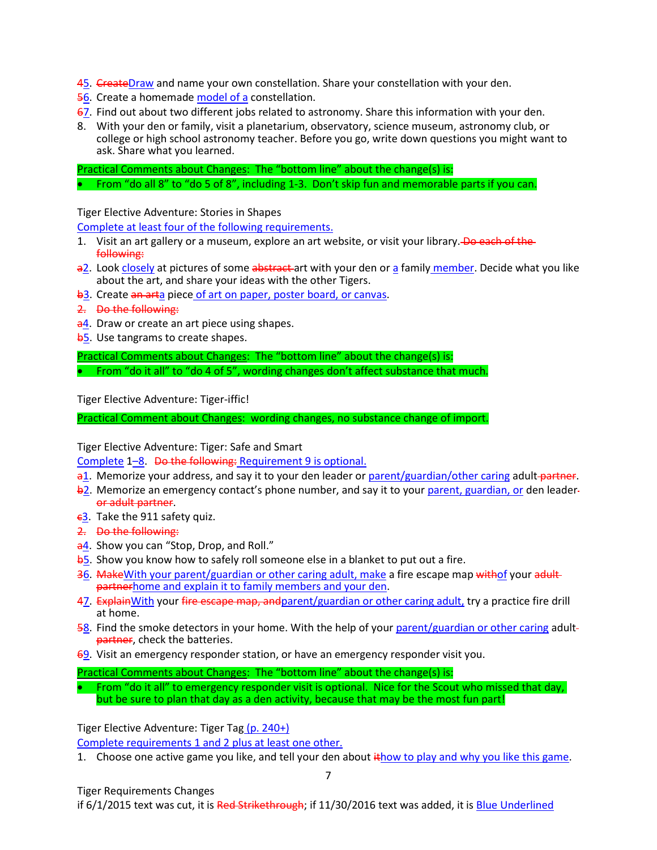- 45. CreateDraw and name your own constellation. Share your constellation with your den.
- 56. Create a homemade model of a constellation.
- 67. Find out about two different jobs related to astronomy. Share this information with your den.
- 8. With your den or family, visit a planetarium, observatory, science museum, astronomy club, or college or high school astronomy teacher. Before you go, write down questions you might want to ask. Share what you learned.

Practical Comments about Changes: The "bottom line" about the change(s) is: • From "do all 8" to "do 5 of 8", including 1-3. Don't skip fun and memorable parts if you can.

Tiger Elective Adventure: Stories in Shapes

Complete at least four of the following requirements.

- 1. Visit an art gallery or a museum, explore an art website, or visit your library. Do each of the following:
- a2. Look closely at pictures of some abstract art with your den or a family member. Decide what you like about the art, and share your ideas with the other Tigers.
- b<sub>3</sub>. Create an arta piece of art on paper, poster board, or canvas.
- 2. Do the following:
- a4. Draw or create an art piece using shapes.
- **b5.** Use tangrams to create shapes.

Practical Comments about Changes: The "bottom line" about the change(s) is: • From "do it all" to "do 4 of 5", wording changes don't affect substance that much.

Tiger Elective Adventure: Tiger-iffic!

Practical Comment about Changes: wording changes, no substance change of import.

Tiger Elective Adventure: Tiger: Safe and Smart

Complete 1–8. Do the following: Requirement 9 is optional.

- $a1.$  Memorize your address, and say it to your den leader or parent/guardian/other caring adult partner.
- $\frac{b2}{c}$ . Memorize an emergency contact's phone number, and say it to your parent, guardian, or den leaderor adult partner.
- $-63$ . Take the 911 safety quiz.
- 2. Do the following:
- a4. Show you can "Stop, Drop, and Roll."
- **b**5. Show you know how to safely roll someone else in a blanket to put out a fire.
- 36. MakeWith your parent/guardian or other caring adult, make a fire escape map withof your adultpartnerhome and explain it to family members and your den.
- 47. Explain With your fire escape map, and parent/guardian or other caring adult, try a practice fire drill at home.
- 58. Find the smoke detectors in your home. With the help of your parent/guardian or other caring adult partner, check the batteries.
- 69. Visit an emergency responder station, or have an emergency responder visit you.
- Practical Comments about Changes: The "bottom line" about the change(s) is:
- From "do it all" to emergency responder visit is optional. Nice for the Scout who missed that day, but be sure to plan that day as a den activity, because that may be the most fun part!

Tiger Elective Adventure: Tiger Tag (p. 240+)

Complete requirements 1 and 2 plus at least one other.

1. Choose one active game you like, and tell your den about  $\frac{1}{2}$  thow to play and why you like this game.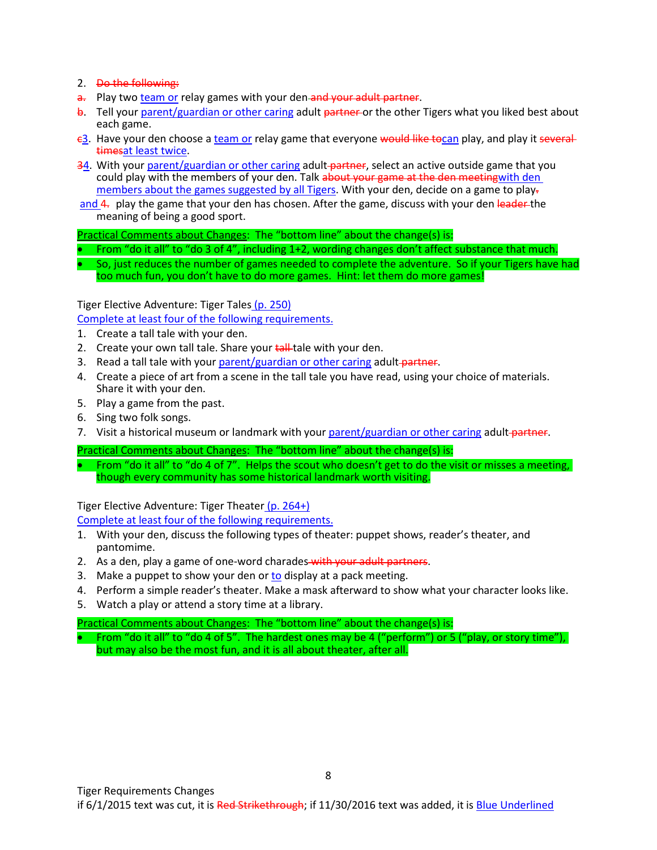# 2. Do the following:

- a. Play two team or relay games with your den and your adult partner.
- b. Tell your parent/guardian or other caring adult partner or the other Tigers what you liked best about each game.
- $\epsilon$ 3. Have your den choose a team or relay game that everyone would like tocan play, and play it several timesat least twice.
- 34. With your parent/guardian or other caring adult-partner, select an active outside game that you could play with the members of your den. Talk about your game at the den meetingwith den members about the games suggested by all Tigers. With your den, decide on a game to play-
- and 4. play the game that your den has chosen. After the game, discuss with your den leader the meaning of being a good sport.

Practical Comments about Changes: The "bottom line" about the change(s) is:

- From "do it all" to "do 3 of 4", including 1+2, wording changes don't affect substance that much.
- So, just reduces the number of games needed to complete the adventure. So if your Tigers have had too much fun, you don't have to do more games. Hint: let them do more games!

Tiger Elective Adventure: Tiger Tales (p. 250)

Complete at least four of the following requirements.

- 1. Create a tall tale with your den.
- 2. Create your own tall tale. Share your tall tale with your den.
- 3. Read a tall tale with your parent/guardian or other caring adult-partner.
- 4. Create a piece of art from a scene in the tall tale you have read, using your choice of materials. Share it with your den.
- 5. Play a game from the past.
- 6. Sing two folk songs.
- 7. Visit a historical museum or landmark with your parent/guardian or other caring adult-partner.

Practical Comments about Changes: The "bottom line" about the change(s) is:

• From "do it all" to "do 4 of 7". Helps the scout who doesn't get to do the visit or misses a meeting, though every community has some historical landmark worth visiting.

Tiger Elective Adventure: Tiger Theater (p. 264+)

Complete at least four of the following requirements.

- 1. With your den, discuss the following types of theater: puppet shows, reader's theater, and pantomime.
- 2. As a den, play a game of one-word charades-with your adult partners.
- 3. Make a puppet to show your den or to display at a pack meeting.
- 4. Perform a simple reader's theater. Make a mask afterward to show what your character looks like.
- 5. Watch a play or attend a story time at a library.

Practical Comments about Changes: The "bottom line" about the change(s) is:

• From "do it all" to "do 4 of 5". The hardest ones may be 4 ("perform") or 5 ("play, or story time"), but may also be the most fun, and it is all about theater, after all.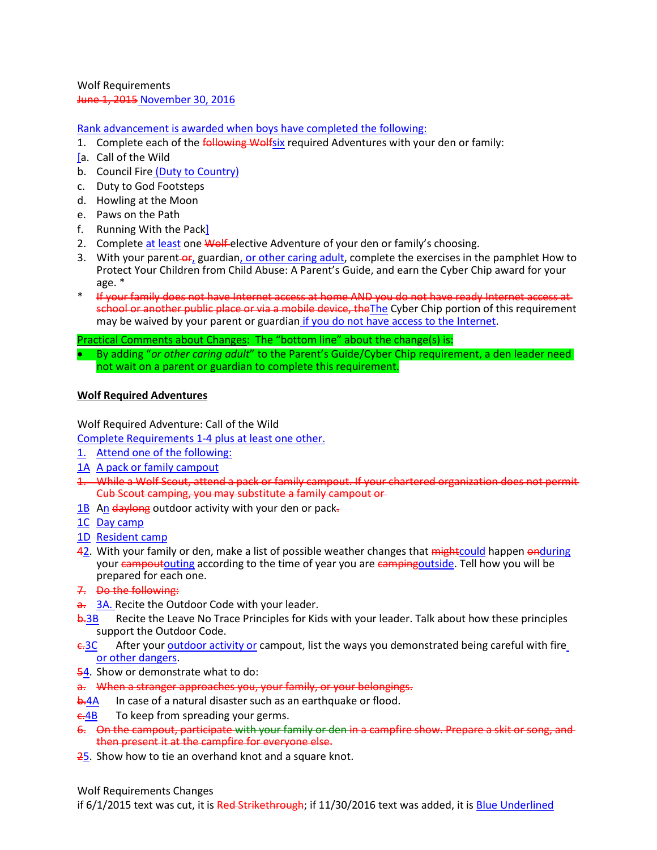Wolf Requirements June 1, 2015 November 30, 2016

Rank advancement is awarded when boys have completed the following:

- 1. Complete each of the *following Wolfsix* required Adventures with your den or family:
- [a. Call of the Wild
- b. Council Fire (Duty to Country)
- c. Duty to God Footsteps
- d. Howling at the Moon
- e. Paws on the Path
- f. Running With the Pack]
- 2. Complete at least one Wolf elective Adventure of your den or family's choosing.
- 3. With your parent-or, guardian, or other caring adult, complete the exercises in the pamphlet How to Protect Your Children from Child Abuse: A Parent's Guide, and earn the Cyber Chip award for your age. \*
- \* If your family does not have Internet access at home AND you do not have ready Internet access at school or another public place or via a mobile device, the The Cyber Chip portion of this requirement may be waived by your parent or guardian if you do not have access to the Internet.

Practical Comments about Changes: The "bottom line" about the change(s) is:

• By adding "*or other caring adult*" to the Parent's Guide/Cyber Chip requirement, a den leader need not wait on a parent or guardian to complete this requirement.

#### **Wolf Required Adventures**

Wolf Required Adventure: Call of the Wild

Complete Requirements 1-4 plus at least one other.

- 1. Attend one of the following:
- 1A A pack or family campout
- 1. While a Wolf Scout, attend a pack or family campout. If your chartered organization does not permit Cub Scout camping, you may substitute a family campout or
- $1B$  An daylong outdoor activity with your den or pack-
- 1C Day camp
- 1D Resident camp
- 42. With your family or den, make a list of possible weather changes that mightcould happen onduring your campoutouting according to the time of year you are campingoutside. Tell how you will be prepared for each one.
- 7. Do the following:
- a. 3A. Recite the Outdoor Code with your leader.
- **b.3B** Recite the Leave No Trace Principles for Kids with your leader. Talk about how these principles support the Outdoor Code.
- $\epsilon$ -3C After your outdoor activity or campout, list the ways you demonstrated being careful with fire or other dangers.
- 54. Show or demonstrate what to do:
- a. When a stranger approaches you, your family, or your belongings.
- **b.4A** In case of a natural disaster such as an earthquake or flood.
- $\epsilon$ -4B To keep from spreading your germs.
- 6. On the campout, participate with your family or den in a campfire show. Prepare a skit or song, and then present it at the campfire for everyone else.
- 25. Show how to tie an overhand knot and a square knot.

Wolf Requirements Changes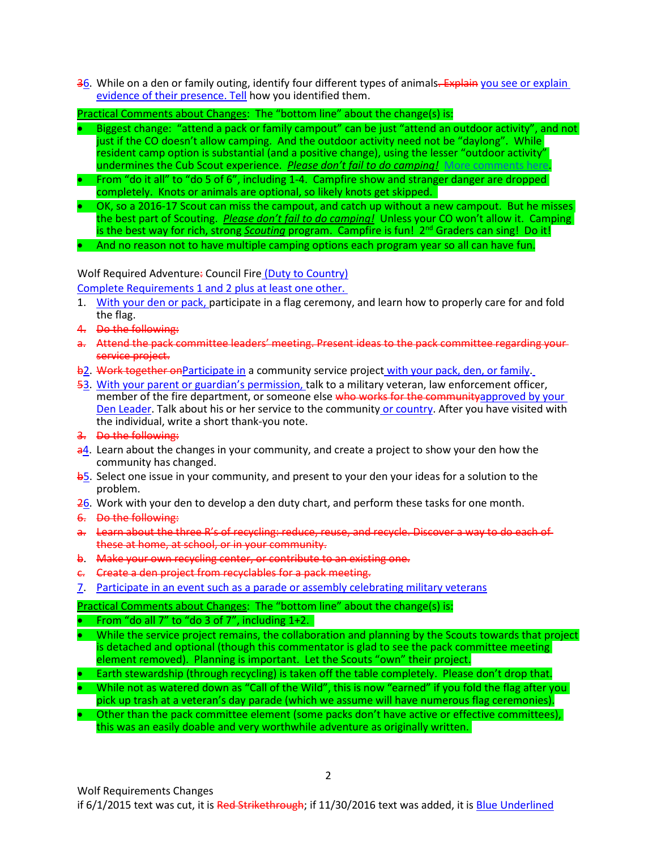36. While on a den or family outing, identify four different types of animals. Explain you see or explain evidence of their presence. Tell how you identified them.

Practical Comments about Changes: The "bottom line" about the change(s) is:

- Biggest change: "attend a pack or family campout" can be just "attend an outdoor activity", and not just if the CO doesn't allow camping. And the outdoor activity need not be "daylong". While  $r$ esident camp option is substantial (and a positive change), using the lesser "outdoor activity" undermines the Cub Scout experience. *Please don't fail to do camping!* [More comments here](http://www.southfultonscouting.com/node/3564).
- From "do it all" to "do 5 of 6", including 1-4. Campfire show and stranger danger are dropped completely. Knots or animals are optional, so likely knots get skipped.
- OK, so a 2016-17 Scout can miss the campout, and catch up without a new campout. But he misses the best part of Scouting. *Please don't fail to do camping!* Unless your CO won't allow it. Camping is the best way for rich, strong *Scouting* program. Campfire is fun! 2nd Graders can sing! Do it!
- And no reason not to have multiple camping options each program year so all can have fun.

Wolf Required Adventure: Council Fire (Duty to Country)

Complete Requirements 1 and 2 plus at least one other.

- 1. With your den or pack, participate in a flag ceremony, and learn how to properly care for and fold the flag.
- 4. Do the following:
- a. Attend the pack committee leaders' meeting. Present ideas to the pack committee regarding yourservice project.
- b2. Work together on Participate in a community service project with your pack, den, or family.
- 53. With your parent or guardian's permission, talk to a military veteran, law enforcement officer, member of the fire department, or someone else who works for the communityapproved by your Den Leader. Talk about his or her service to the community or country. After you have visited with the individual, write a short thank-you note.
- 3. Do the following:
- $a<sup>4</sup>$ . Learn about the changes in your community, and create a project to show your den how the community has changed.
- b5. Select one issue in your community, and present to your den your ideas for a solution to the problem.
- 26. Work with your den to develop a den duty chart, and perform these tasks for one month.
- 6. Do the following:
- a. Learn about the three R's of recycling: reduce, reuse, and recycle. Discover a way to do each of these at home, at school, or in your community.
- b. Make your own recycling center, or contribute to an existing one.
- c. Create a den project from recyclables for a pack meeting.
- 7. Participate in an event such as a parade or assembly celebrating military veterans

Practical Comments about Changes: The "bottom line" about the change(s) is:

- From "do all 7" to "do 3 of 7", including 1+2.
- While the service project remains, the collaboration and planning by the Scouts towards that project is detached and optional (though this commentator is glad to see the pack committee meeting element removed). Planning is important. Let the Scouts "own" their project.
- Earth stewardship (through recycling) is taken off the table completely. Please don't drop that.
- While not as watered down as "Call of the Wild", this is now "earned" if you fold the flag after you pick up trash at a veteran's day parade (which we assume will have numerous flag ceremonies).
- Other than the pack committee element (some packs don't have active or effective committees), this was an easily doable and very worthwhile adventure as originally written.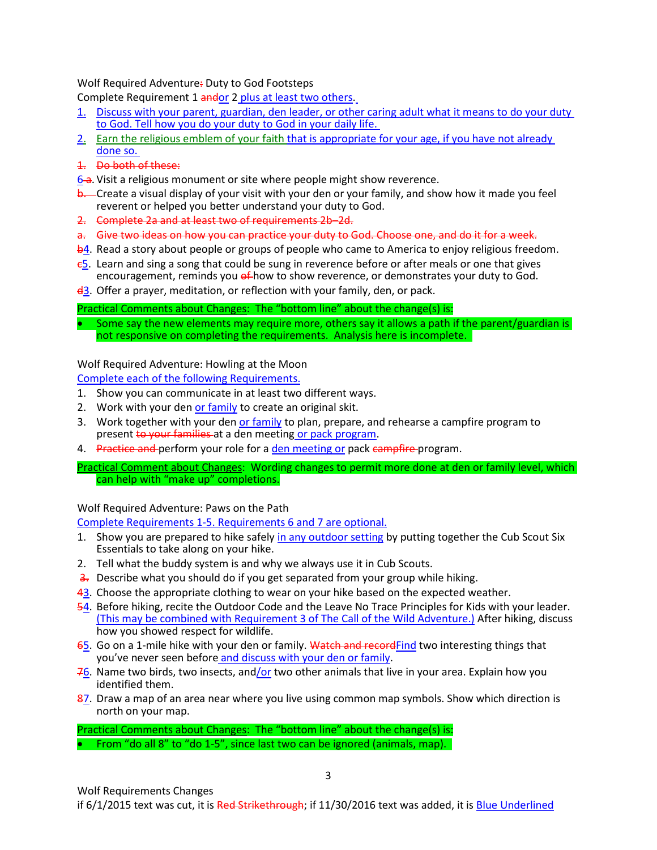# Wolf Required Adventure: Duty to God Footsteps

Complete Requirement 1 andor 2 plus at least two others.

- 1. Discuss with your parent, guardian, den leader, or other caring adult what it means to do your duty to God. Tell how you do your duty to God in your daily life.
- 2. Earn the religious emblem of your faith that is appropriate for your age, if you have not already done so.
- 1. Do both of these:
- 6-a. Visit a religious monument or site where people might show reverence.
- **b.** Create a visual display of your visit with your den or your family, and show how it made you feel reverent or helped you better understand your duty to God.
- 2. Complete 2a and at least two of requirements 2b–2d.
- a. Give two ideas on how you can practice your duty to God. Choose one, and do it for a week.
- b4. Read a story about people or groups of people who came to America to enjoy religious freedom.
- $\epsilon$ 5. Learn and sing a song that could be sung in reverence before or after meals or one that gives encouragement, reminds you of how to show reverence, or demonstrates your duty to God.
- $\frac{d}{dx}$ . Offer a prayer, meditation, or reflection with your family, den, or pack.

# Practical Comments about Changes: The "bottom line" about the change(s) is:

Some say the new elements may require more, others say it allows a path if the parent/guardian is not responsive on completing the requirements. Analysis here is incomplete.

# Wolf Required Adventure: Howling at the Moon

Complete each of the following Requirements.

- 1. Show you can communicate in at least two different ways.
- 2. Work with your den or family to create an original skit.
- 3. Work together with your den or family to plan, prepare, and rehearse a campfire program to present to your families at a den meeting or pack program.
- 4. Practice and perform your role for a den meeting or pack campfire program.
- Practical Comment about Changes: Wording changes to permit more done at den or family level, which can help with "make up" completions.

# Wolf Required Adventure: Paws on the Path

Complete Requirements 1-5. Requirements 6 and 7 are optional.

- 1. Show you are prepared to hike safely in any outdoor setting by putting together the Cub Scout Six Essentials to take along on your hike.
- 2. Tell what the buddy system is and why we always use it in Cub Scouts.
- 3. Describe what you should do if you get separated from your group while hiking.
- 43. Choose the appropriate clothing to wear on your hike based on the expected weather.
- 54. Before hiking, recite the Outdoor Code and the Leave No Trace Principles for Kids with your leader. (This may be combined with Requirement 3 of The Call of the Wild Adventure.) After hiking, discuss how you showed respect for wildlife.
- 65. Go on a 1-mile hike with your den or family. Watch and recordFind two interesting things that you've never seen before and discuss with your den or family.
- $76$ . Name two birds, two insects, and/or two other animals that live in your area. Explain how you identified them.
- 87. Draw a map of an area near where you live using common map symbols. Show which direction is north on your map.

Practical Comments about Changes: The "bottom line" about the change(s) is: • From "do all 8" to "do 1-5", since last two can be ignored (animals, map).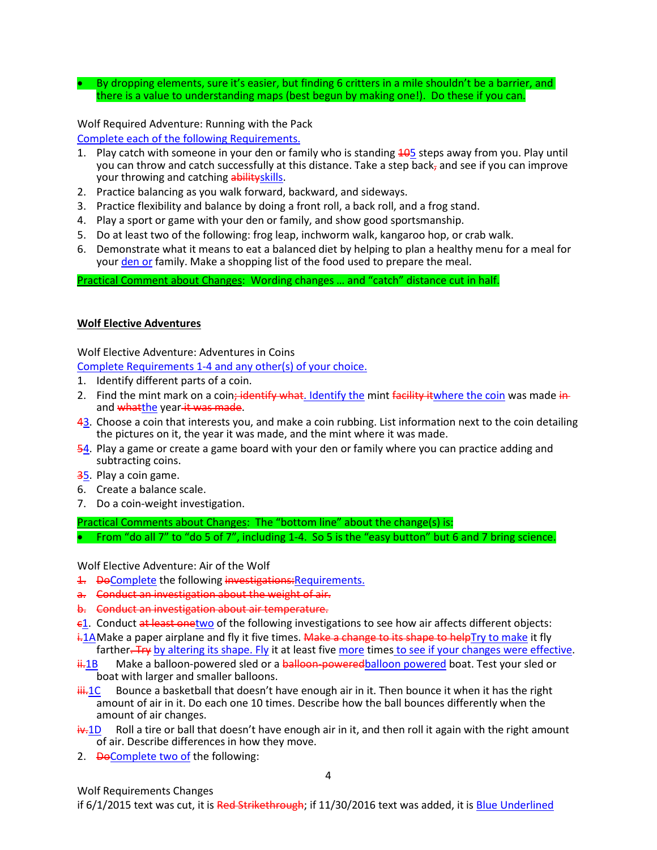By dropping elements, sure it's easier, but finding 6 critters in a mile shouldn't be a barrier, and there is a value to understanding maps (best begun by making one!). Do these if you can.

Wolf Required Adventure: Running with the Pack Complete each of the following Requirements.

- 1. Play catch with someone in your den or family who is standing 405 steps away from you. Play until you can throw and catch successfully at this distance. Take a step back, and see if you can improve your throwing and catching abilityskills.
- 2. Practice balancing as you walk forward, backward, and sideways.
- 3. Practice flexibility and balance by doing a front roll, a back roll, and a frog stand.
- 4. Play a sport or game with your den or family, and show good sportsmanship.
- 5. Do at least two of the following: frog leap, inchworm walk, kangaroo hop, or crab walk.
- 6. Demonstrate what it means to eat a balanced diet by helping to plan a healthy menu for a meal for your den or family. Make a shopping list of the food used to prepare the meal.

Practical Comment about Changes: Wording changes … and "catch" distance cut in half.

#### **Wolf Elective Adventures**

Wolf Elective Adventure: Adventures in Coins

Complete Requirements 1-4 and any other(s) of your choice.

- 1. Identify different parts of a coin.
- 2. Find the mint mark on a coin<del>; identify what</del>. Identify the mint facility it where the coin was made inand whatthe year it was made.
- 43. Choose a coin that interests you, and make a coin rubbing. List information next to the coin detailing the pictures on it, the year it was made, and the mint where it was made.
- 54. Play a game or create a game board with your den or family where you can practice adding and subtracting coins.
- 35. Play a coin game.
- 6. Create a balance scale.
- 7. Do a coin-weight investigation.

Practical Comments about Changes: The "bottom line" about the change(s) is:

• From "do all 7" to "do 5 of 7", including 1-4. So 5 is the "easy button" but 6 and 7 bring science.

Wolf Elective Adventure: Air of the Wolf

1. DeComplete the following investigations: Requirements.

- a. Conduct an investigation about the weight of air.
- b. Conduct an investigation about air temperature.
- c1. Conduct at least onetwo of the following investigations to see how air affects different objects:
- i.1A Make a paper airplane and fly it five times. Make a change to its shape to helpTry to make it fly farther. Try by altering its shape. Fly it at least five more times to see if your changes were effective.
- $\frac{11.1B}{1.1B}$  Make a balloon-powered sled or a balloon-poweredballoon powered boat. Test your sled or boat with larger and smaller balloons.
- $\frac{1}{10}$ . Bounce a basketball that doesn't have enough air in it. Then bounce it when it has the right amount of air in it. Do each one 10 times. Describe how the ball bounces differently when the amount of air changes.
- $\frac{1}{2}$ .1D Roll a tire or ball that doesn't have enough air in it, and then roll it again with the right amount of air. Describe differences in how they move.
- 2. <del>Do</del>Complete two of the following: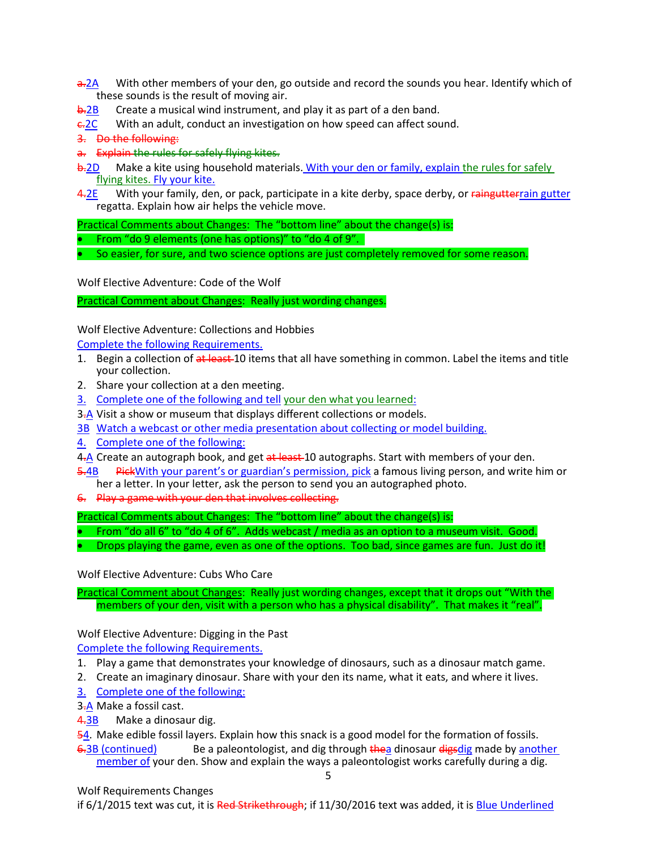- $\frac{a-2A}{a}$  With other members of your den, go outside and record the sounds you hear. Identify which of these sounds is the result of moving air.
- **b.2B** Create a musical wind instrument, and play it as part of a den band.
- $E = 2C$  With an adult, conduct an investigation on how speed can affect sound.

3. Do the following:

- a. Explain the rules for safely flying kites.
- b.2D Make a kite using household materials. With your den or family, explain the rules for safely flying kites. Fly your kite.
- 4.2E With your family, den, or pack, participate in a kite derby, space derby, or raingutterrain gutter regatta. Explain how air helps the vehicle move.

Practical Comments about Changes: The "bottom line" about the change(s) is:

- From "do 9 elements (one has options)" to "do 4 of 9".
- So easier, for sure, and two science options are just completely removed for some reason.

Wolf Elective Adventure: Code of the Wolf

Practical Comment about Changes: Really just wording changes.

Wolf Elective Adventure: Collections and Hobbies

Complete the following Requirements.

- 1. Begin a collection of at least 10 items that all have something in common. Label the items and title your collection.
- 2. Share your collection at a den meeting.
- 3. Complete one of the following and tell your den what you learned:
- 3.A Visit a show or museum that displays different collections or models.
- 3B Watch a webcast or other media presentation about collecting or model building.
- 4. Complete one of the following:
- 4.A Create an autograph book, and get at least 10 autographs. Start with members of your den.
- 5.4B PickWith your parent's or guardian's permission, pick a famous living person, and write him or her a letter. In your letter, ask the person to send you an autographed photo.
- 6. Play a game with your den that involves collecting.

Practical Comments about Changes: The "bottom line" about the change(s) is:

- From "do all 6" to "do 4 of 6". Adds webcast / media as an option to a museum visit. Good.
- Drops playing the game, even as one of the options. Too bad, since games are fun. Just do it!

Wolf Elective Adventure: Cubs Who Care

Practical Comment about Changes: Really just wording changes, except that it drops out "With the members of your den, visit with a person who has a physical disability". That makes it "real".

Wolf Elective Adventure: Digging in the Past

Complete the following Requirements.

- 1. Play a game that demonstrates your knowledge of dinosaurs, such as a dinosaur match game.
- 2. Create an imaginary dinosaur. Share with your den its name, what it eats, and where it lives.
- 3. Complete one of the following:
- 3.A Make a fossil cast.
- 4.3B Make a dinosaur dig.

54. Make edible fossil layers. Explain how this snack is a good model for the formation of fossils.

6.3B (continued) Be a paleontologist, and dig through thea dinosaur digsdig made by another member of your den. Show and explain the ways a paleontologist works carefully during a dig.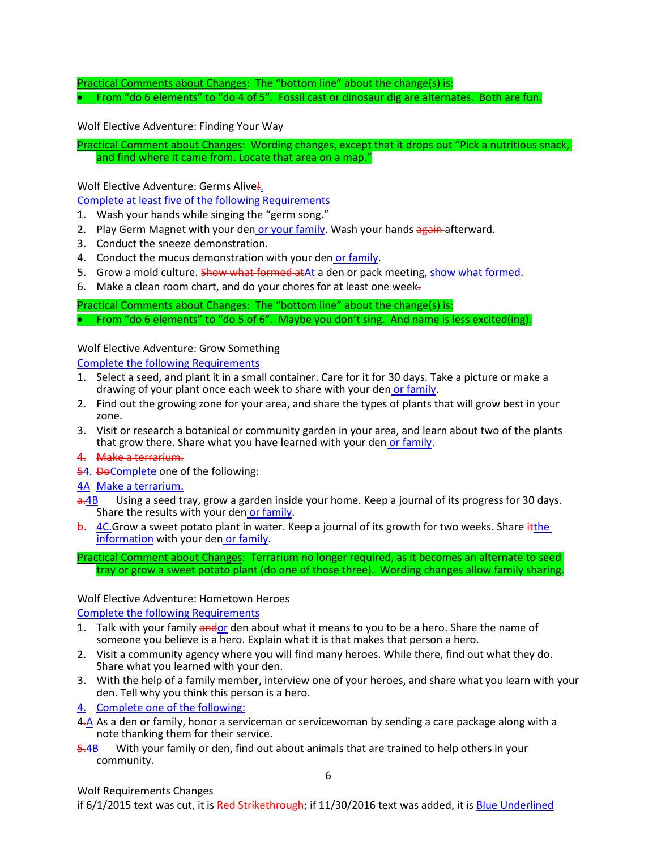Practical Comments about Changes: The "bottom line" about the change(s) is: • From "do 6 elements" to "do 4 of 5". Fossil cast or dinosaur dig are alternates. Both are fun.

Wolf Elective Adventure: Finding Your Way

Practical Comment about Changes: Wording changes, except that it drops out "Pick a nutritious snack, and find where it came from. Locate that area on a map."

Wolf Elective Adventure: Germs Alive!

Complete at least five of the following Requirements

- 1. Wash your hands while singing the "germ song."
- 2. Play Germ Magnet with your den or your family. Wash your hands again afterward.
- 3. Conduct the sneeze demonstration.
- 4. Conduct the mucus demonstration with your den or family.
- 5. Grow a mold culture. Show what formed atAt a den or pack meeting, show what formed.
- 6. Make a clean room chart, and do your chores for at least one week.

Practical Comments about Changes: The "bottom line" about the change(s) is: • From "do 6 elements" to "do 5 of 6". Maybe you don't sing. And name is less excited(ing).

#### Wolf Elective Adventure: Grow Something

Complete the following Requirements

- 1. Select a seed, and plant it in a small container. Care for it for 30 days. Take a picture or make a drawing of your plant once each week to share with your den or family.
- 2. Find out the growing zone for your area, and share the types of plants that will grow best in your zone.
- 3. Visit or research a botanical or community garden in your area, and learn about two of the plants that grow there. Share what you have learned with your den or family.
- 4. Make a terrarium.
- 54. DeComplete one of the following:
- 4A Make a terrarium.
- a.4B Using a seed tray, grow a garden inside your home. Keep a journal of its progress for 30 days. Share the results with your den or family.
- b. 4C.Grow a sweet potato plant in water. Keep a journal of its growth for two weeks. Share ithe information with your den or family.
- Practical Comment about Changes: Terrarium no longer required, as it becomes an alternate to seed tray or grow a sweet potato plant (do one of those three). Wording changes allow family sharing.

#### Wolf Elective Adventure: Hometown Heroes

Complete the following Requirements

- 1. Talk with your family andor den about what it means to you to be a hero. Share the name of someone you believe is a hero. Explain what it is that makes that person a hero.
- 2. Visit a community agency where you will find many heroes. While there, find out what they do. Share what you learned with your den.
- 3. With the help of a family member, interview one of your heroes, and share what you learn with your den. Tell why you think this person is a hero.
- 4. Complete one of the following:
- 4<sup>-</sup>A As a den or family, honor a serviceman or servicewoman by sending a care package along with a note thanking them for their service.
- 5.4B With your family or den, find out about animals that are trained to help others in your community.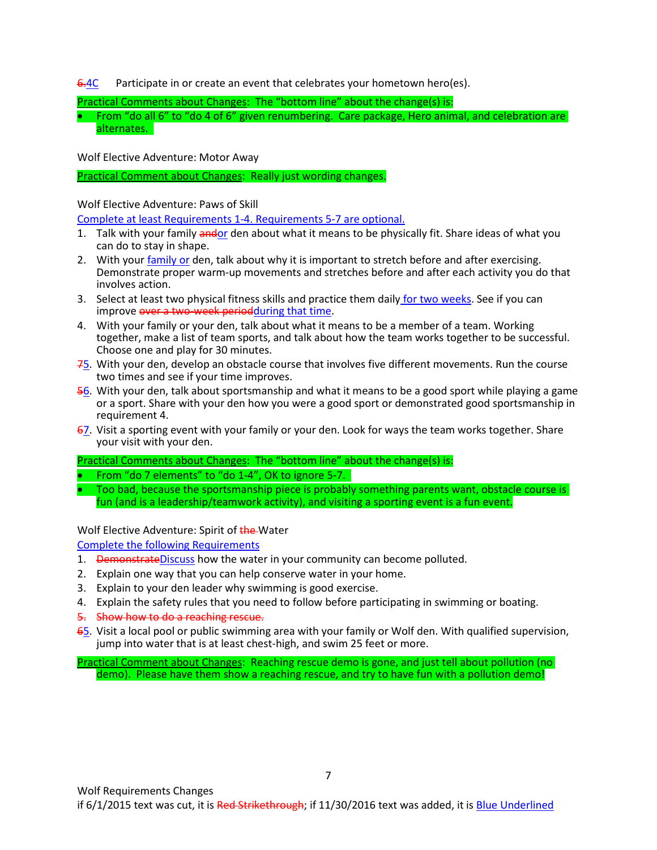6.4C Participate in or create an event that celebrates your hometown hero(es).

Practical Comments about Changes: The "bottom line" about the change(s) is:

• From "do all 6" to "do 4 of 6" given renumbering. Care package, Hero animal, and celebration are alternates.

Wolf Elective Adventure: Motor Away

Practical Comment about Changes: Really just wording changes.

Wolf Elective Adventure: Paws of Skill

Complete at least Requirements 1-4. Requirements 5-7 are optional.

- 1. Talk with your family andor den about what it means to be physically fit. Share ideas of what you can do to stay in shape.
- 2. With your family or den, talk about why it is important to stretch before and after exercising. Demonstrate proper warm-up movements and stretches before and after each activity you do that involves action.
- 3. Select at least two physical fitness skills and practice them daily for two weeks. See if you can improve over a two-week periodduring that time.
- 4. With your family or your den, talk about what it means to be a member of a team. Working together, make a list of team sports, and talk about how the team works together to be successful. Choose one and play for 30 minutes.
- 75. With your den, develop an obstacle course that involves five different movements. Run the course two times and see if your time improves.
- 56. With your den, talk about sportsmanship and what it means to be a good sport while playing a game or a sport. Share with your den how you were a good sport or demonstrated good sportsmanship in requirement 4.
- 67. Visit a sporting event with your family or your den. Look for ways the team works together. Share your visit with your den.

Practical Comments about Changes: The "bottom line" about the change(s) is:

- From "do 7 elements" to "do 1-4", OK to ignore 5-7.
- Too bad, because the sportsmanship piece is probably something parents want, obstacle course is fun (and is a leadership/teamwork activity), and visiting a sporting event is a fun event.

Wolf Elective Adventure: Spirit of the Water

Complete the following Requirements

- 1. DemonstrateDiscuss how the water in your community can become polluted.
- 2. Explain one way that you can help conserve water in your home.
- 3. Explain to your den leader why swimming is good exercise.
- 4. Explain the safety rules that you need to follow before participating in swimming or boating.
- 5. Show how to do a reaching rescue.
- 65. Visit a local pool or public swimming area with your family or Wolf den. With qualified supervision, jump into water that is at least chest-high, and swim 25 feet or more.

Practical Comment about Changes: Reaching rescue demo is gone, and just tell about pollution (no demo). Please have them show a reaching rescue, and try to have fun with a pollution demo!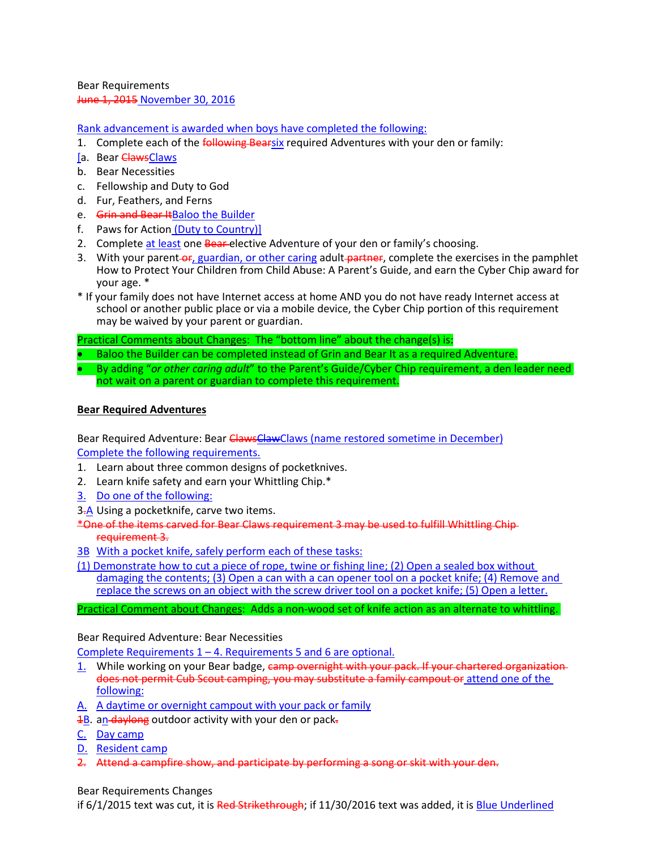Bear Requirements June 1, 2015 November 30, 2016

Rank advancement is awarded when boys have completed the following:

- 1. Complete each of the *following Bearsix* required Adventures with your den or family:
- [a. Bear ClawsClaws
- b. Bear Necessities
- c. Fellowship and Duty to God
- d. Fur, Feathers, and Ferns
- e. Grin and Bear ItBaloo the Builder
- f. Paws for Action (Duty to Country)]
- 2. Complete at least one Bear-elective Adventure of your den or family's choosing.
- 3. With your parent-or, guardian, or other caring adult-partner, complete the exercises in the pamphlet How to Protect Your Children from Child Abuse: A Parent's Guide, and earn the Cyber Chip award for your age. \*
- \* If your family does not have Internet access at home AND you do not have ready Internet access at school or another public place or via a mobile device, the Cyber Chip portion of this requirement may be waived by your parent or guardian.

Practical Comments about Changes: The "bottom line" about the change(s) is:

- Baloo the Builder can be completed instead of Grin and Bear It as a required Adventure.
- By adding "*or other caring adult*" to the Parent's Guide/Cyber Chip requirement, a den leader need not wait on a parent or guardian to complete this requirement.

#### **Bear Required Adventures**

Bear Required Adventure: Bear ClawsClawClaws (name restored sometime in December) Complete the following requirements.

- 1. Learn about three common designs of pocketknives.
- 2. Learn knife safety and earn your Whittling Chip.\*
- 3. Do one of the following:
- 3.A Using a pocketknife, carve two items.
- \*One of the items carved for Bear Claws requirement 3 may be used to fulfill Whittling Chip requirement 3.
- 3B With a pocket knife, safely perform each of these tasks:
- (1) Demonstrate how to cut a piece of rope, twine or fishing line; (2) Open a sealed box without damaging the contents; (3) Open a can with a can opener tool on a pocket knife; (4) Remove and replace the screws on an object with the screw driver tool on a pocket knife; (5) Open a letter.

Practical Comment about Changes: Adds a non-wood set of knife action as an alternate to whittling.

#### Bear Required Adventure: Bear Necessities

Complete Requirements 1 – 4. Requirements 5 and 6 are optional.

- 1. While working on your Bear badge, camp overnight with your pack. If your chartered organization does not permit Cub Scout camping, you may substitute a family campout or attend one of the following:
- A. A daytime or overnight campout with your pack or family
- 1B. an daylong outdoor activity with your den or pack-
- C. Day camp
- D. Resident camp
- 2. Attend a campfire show, and participate by performing a song or skit with your den.

#### Bear Requirements Changes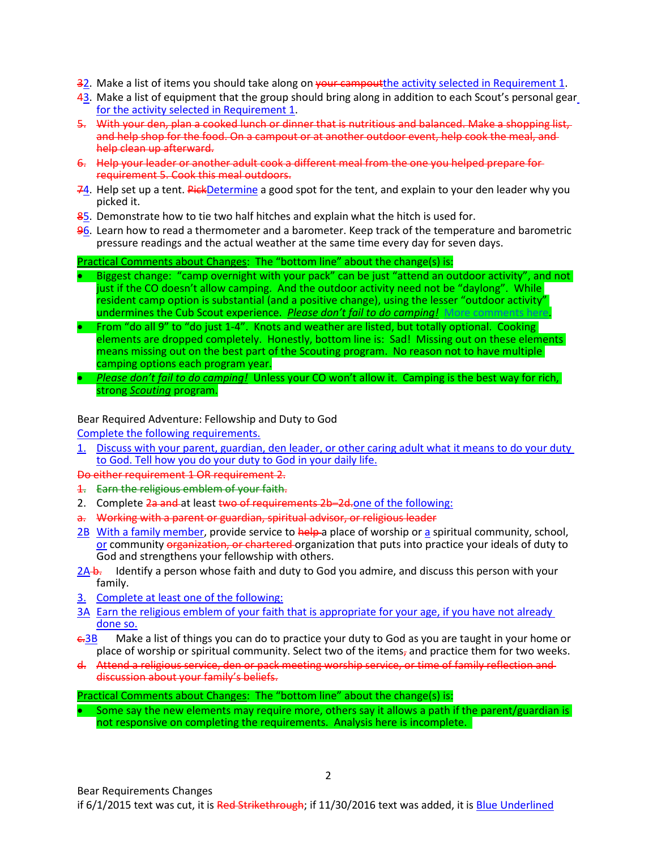- 32. Make a list of items you should take along on your campout the activity selected in Requirement 1.
- 43. Make a list of equipment that the group should bring along in addition to each Scout's personal gear for the activity selected in Requirement 1.
- 5. With your den, plan a cooked lunch or dinner that is nutritious and balanced. Make a shopping list, and help shop for the food. On a campout or at another outdoor event, help cook the meal, and help clean up afterward.
- 6. Help your leader or another adult cook a different meal from the one you helped prepare for requirement 5. Cook this meal outdoors.
- 74. Help set up a tent. PickDetermine a good spot for the tent, and explain to your den leader why you picked it.
- 85. Demonstrate how to tie two half hitches and explain what the hitch is used for.
- 96. Learn how to read a thermometer and a barometer. Keep track of the temperature and barometric pressure readings and the actual weather at the same time every day for seven days.

- Biggest change: "camp overnight with your pack" can be just "attend an outdoor activity", and not just if the CO doesn't allow camping. And the outdoor activity need not be "daylong". While resident camp option is substantial (and a positive change), using the lesser "outdoor activity" undermines the Cub Scout experience. *Please don't fail to do camping!* [More comments here](http://www.southfultonscouting.com/node/3564).
- From "do all 9" to "do just 1-4". Knots and weather are listed, but totally optional. Cooking elements are dropped completely. Honestly, bottom line is: Sad! Missing out on these elements means missing out on the best part of the Scouting program. No reason not to have multiple camping options each program year.
- *Please don't fail to do camping!* Unless your CO won't allow it. Camping is the best way for rich, strong *Scouting* program.

#### Bear Required Adventure: Fellowship and Duty to God

Complete the following requirements.

1. Discuss with your parent, guardian, den leader, or other caring adult what it means to do your duty to God. Tell how you do your duty to God in your daily life.

Do either requirement 1 OR requirement 2.

- 1. Earn the religious emblem of your faith.
- 2. Complete 2a and at least two of requirements 2b-2d.one of the following:
- a. Working with a parent or guardian, spiritual advisor, or religious leader
- 2B With a family member, provide service to help a place of worship or a spiritual community, school, or community organization, or chartered organization that puts into practice your ideals of duty to God and strengthens your fellowship with others.
- $2A b$ . Identify a person whose faith and duty to God you admire, and discuss this person with your family.
- 3. Complete at least one of the following:
- 3A Earn the religious emblem of your faith that is appropriate for your age, if you have not already done so.
- $\epsilon$ -3B Make a list of things you can do to practice your duty to God as you are taught in your home or place of worship or spiritual community. Select two of the items, and practice them for two weeks.
- d. Attend a religious service, den or pack meeting worship service, or time of family reflection and discussion about your family's beliefs.

#### Practical Comments about Changes: The "bottom line" about the change(s) is:

Some say the new elements may require more, others say it allows a path if the parent/guardian is not responsive on completing the requirements. Analysis here is incomplete.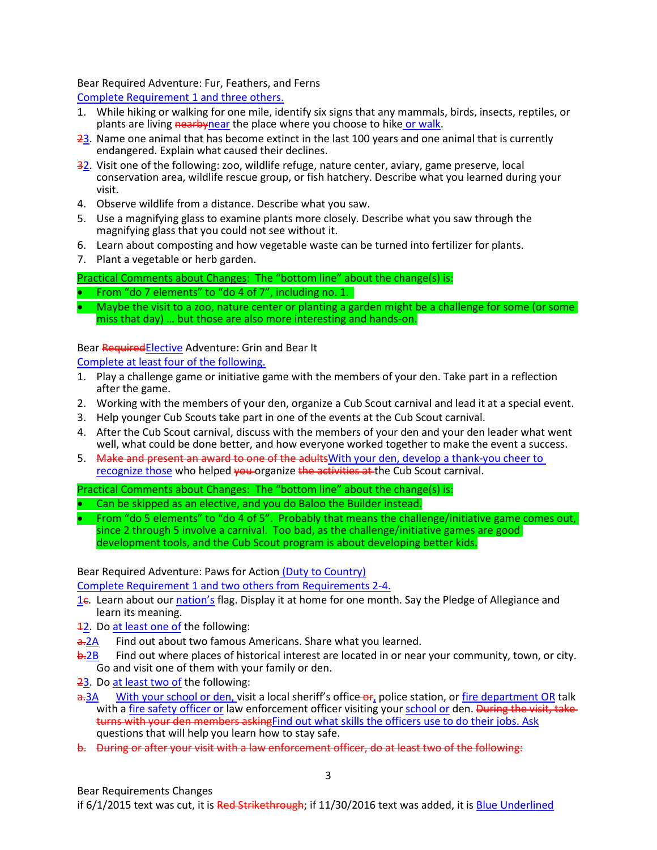Bear Required Adventure: Fur, Feathers, and Ferns

Complete Requirement 1 and three others.

- 1. While hiking or walking for one mile, identify six signs that any mammals, birds, insects, reptiles, or plants are living **nearbynear** the place where you choose to hike or walk.
- 23. Name one animal that has become extinct in the last 100 years and one animal that is currently endangered. Explain what caused their declines.
- 32. Visit one of the following: zoo, wildlife refuge, nature center, aviary, game preserve, local conservation area, wildlife rescue group, or fish hatchery. Describe what you learned during your visit.
- 4. Observe wildlife from a distance. Describe what you saw.
- 5. Use a magnifying glass to examine plants more closely. Describe what you saw through the magnifying glass that you could not see without it.
- 6. Learn about composting and how vegetable waste can be turned into fertilizer for plants.
- 7. Plant a vegetable or herb garden.

# Practical Comments about Changes: The "bottom line" about the change(s) is:

• From "do 7 elements" to "do 4 of 7", including no. 1.

• Maybe the visit to a zoo, nature center or planting a garden might be a challenge for some (or some miss that day) … but those are also more interesting and hands-on.

# Bear RequiredElective Adventure: Grin and Bear It

Complete at least four of the following.

- 1. Play a challenge game or initiative game with the members of your den. Take part in a reflection after the game.
- 2. Working with the members of your den, organize a Cub Scout carnival and lead it at a special event.
- 3. Help younger Cub Scouts take part in one of the events at the Cub Scout carnival.
- 4. After the Cub Scout carnival, discuss with the members of your den and your den leader what went well, what could be done better, and how everyone worked together to make the event a success.
- 5. Make and present an award to one of the adults With your den, develop a thank-you cheer to recognize those who helped you organize the activities at the Cub Scout carnival.

Practical Comments about Changes: The "bottom line" about the change(s) is:

- Can be skipped as an elective, and you do Baloo the Builder instead.
- From "do 5 elements" to "do 4 of 5". Probably that means the challenge/initiative game comes out, since 2 through 5 involve a carnival. Too bad, as the challenge/initiative games are good development tools, and the Cub Scout program is about developing better kids.

Bear Required Adventure: Paws for Action (Duty to Country)

Complete Requirement 1 and two others from Requirements 2-4.

- 1c. Learn about our nation's flag. Display it at home for one month. Say the Pledge of Allegiance and learn its meaning.
- 12. Do at least one of the following:
- a. 2A Find out about two famous Americans. Share what you learned.
- **b.2B** Find out where places of historical interest are located in or near your community, town, or city. Go and visit one of them with your family or den.
- 23. Do at least two of the following:
- a.3A With your school or den, visit a local sheriff's office-or, police station, or fire department OR talk with a fire safety officer or law enforcement officer visiting your school or den. During the visit, taketurns with your den members asking Find out what skills the officers use to do their jobs. Ask questions that will help you learn how to stay safe.
- b. During or after your visit with a law enforcement officer, do at least two of the following: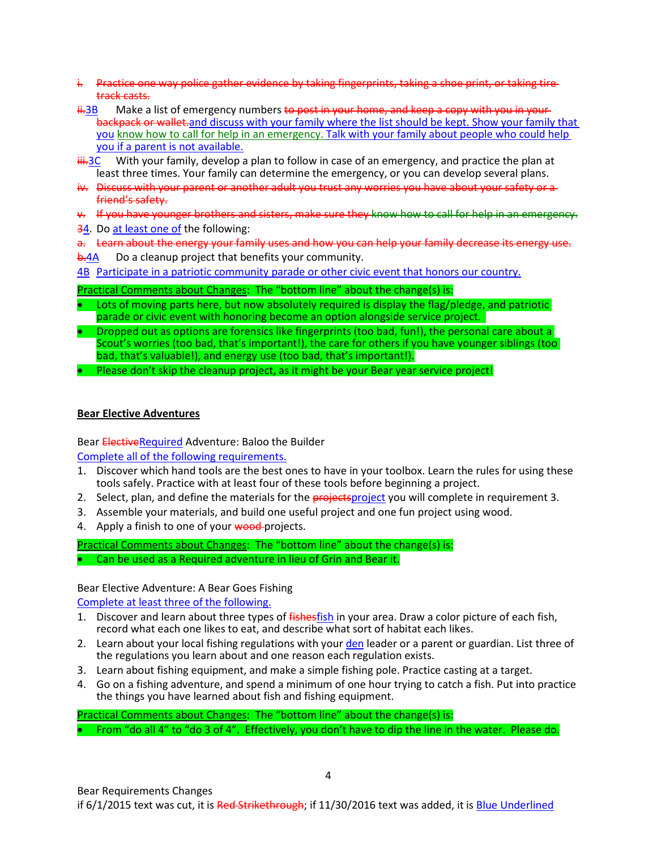- i. Practice one way police gather evidence by taking fingerprints, taking a shoe print, or taking tiretrack casts.
- $\frac{11}{10}$  Make a list of emergency numbers to post in your home, and keep a copy with you in your backpack or wallet.and discuss with your family where the list should be kept. Show your family that you know how to call for help in an emergency. Talk with your family about people who could help you if a parent is not available.
- $\frac{1}{111.3}$ C With your family, develop a plan to follow in case of an emergency, and practice the plan at least three times. Your family can determine the emergency, or you can develop several plans.
- iv. Discuss with your parent or another adult you trust any worries you have about your safety or a friend's safety.
- v. If you have younger brothers and sisters, make sure they know how to call for help in an emergency.
- 34. Do at least one of the following:
- a. Learn about the energy your family uses and how you can help your family decrease its energy use.
- **b.4A** Do a cleanup project that benefits your community.
- 4B Participate in a patriotic community parade or other civic event that honors our country.

- Lots of moving parts here, but now absolutely required is display the flag/pledge, and patriotic parade or civic event with honoring become an option alongside service project.
- Dropped out as options are forensics like fingerprints (too bad, fun!), the personal care about a Scout's worries (too bad, that's important!), the care for others if you have younger siblings (too bad, that's valuable!), and energy use (too bad, that's important!).
- Please don't skip the cleanup project, as it might be your Bear year service project!

# **Bear Elective Adventures**

Bear ElectiveRequired Adventure: Baloo the Builder

Complete all of the following requirements.

- 1. Discover which hand tools are the best ones to have in your toolbox. Learn the rules for using these tools safely. Practice with at least four of these tools before beginning a project.
- 2. Select, plan, and define the materials for the **projects** project you will complete in requirement 3.
- 3. Assemble your materials, and build one useful project and one fun project using wood.
- 4. Apply a finish to one of your wood-projects.

Practical Comments about Changes: The "bottom line" about the change(s) is:

• Can be used as a Required adventure in lieu of Grin and Bear it.

# Bear Elective Adventure: A Bear Goes Fishing

Complete at least three of the following.

- 1. Discover and learn about three types of fishesfish in your area. Draw a color picture of each fish, record what each one likes to eat, and describe what sort of habitat each likes.
- 2. Learn about your local fishing regulations with your den leader or a parent or guardian. List three of the regulations you learn about and one reason each regulation exists.
- 3. Learn about fishing equipment, and make a simple fishing pole. Practice casting at a target.
- 4. Go on a fishing adventure, and spend a minimum of one hour trying to catch a fish. Put into practice the things you have learned about fish and fishing equipment.

Practical Comments about Changes: The "bottom line" about the change(s) is:

• From "do all 4" to "do 3 of 4". Effectively, you don't have to dip the line in the water. Please do.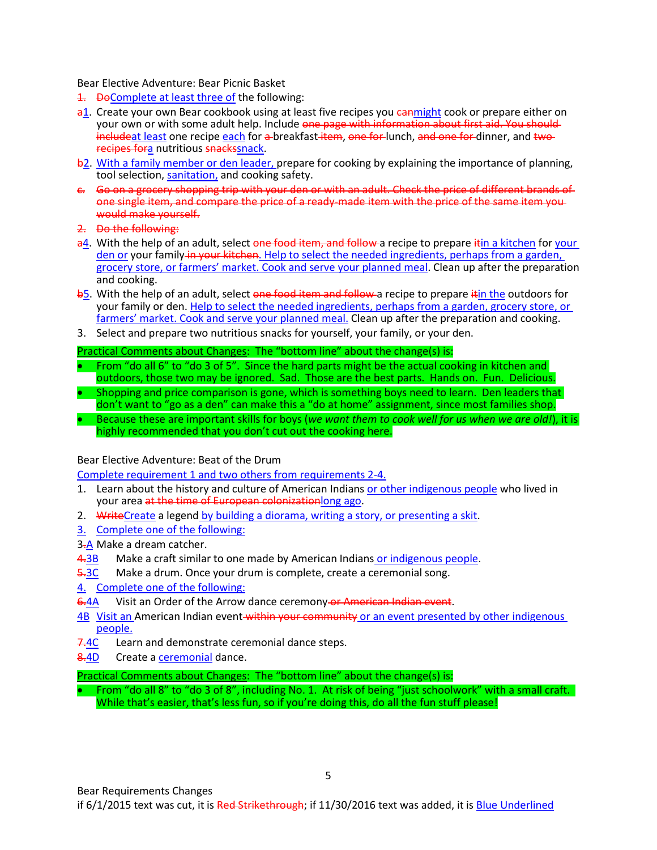Bear Elective Adventure: Bear Picnic Basket

- **1.** DeComplete at least three of the following:
- a1. Create your own Bear cookbook using at least five recipes you cannight cook or prepare either on your own or with some adult help. Include one page with information about first aid. You should includeat least one recipe each for a breakfast item, one for lunch, and one for dinner, and two recipes fora nutritious snackssnack.
- b2. With a family member or den leader, prepare for cooking by explaining the importance of planning, tool selection, sanitation, and cooking safety.
- c. Go on a grocery shopping trip with your den or with an adult. Check the price of different brands of one single item, and compare the price of a ready-made item with the price of the same item you would make yourself.
- 2. Do the following:
- a4. With the help of an adult, select one food item, and follow a recipe to prepare itin a kitchen for your den or your family in your kitchen. Help to select the needed ingredients, perhaps from a garden, grocery store, or farmers' market. Cook and serve your planned meal. Clean up after the preparation and cooking.
- b5. With the help of an adult, select one food item and follow a recipe to prepare it in the outdoors for your family or den. Help to select the needed ingredients, perhaps from a garden, grocery store, or farmers' market. Cook and serve your planned meal. Clean up after the preparation and cooking.
- 3. Select and prepare two nutritious snacks for yourself, your family, or your den.

# Practical Comments about Changes: The "bottom line" about the change(s) is:

- From "do all 6" to "do 3 of 5". Since the hard parts might be the actual cooking in kitchen and outdoors, those two may be ignored. Sad. Those are the best parts. Hands on. Fun. Delicious.
- Shopping and price comparison is gone, which is something boys need to learn. Den leaders that don't want to "go as a den" can make this a "do at home" assignment, since most families shop. • Because these are important skills for boys (*we want them to cook well for us when we are old!*), it is
	- highly recommended that you don't cut out the cooking here.

# Bear Elective Adventure: Beat of the Drum

Complete requirement 1 and two others from requirements 2-4.

- 1. Learn about the history and culture of American Indians or other indigenous people who lived in your area at the time of European colonizationlong ago.
- 2. WriteCreate a legend by building a diorama, writing a story, or presenting a skit.
- 3. Complete one of the following:
- 3.A Make a dream catcher.
- 4.3B Make a craft similar to one made by American Indians or indigenous people.
- 5.3C Make a drum. Once your drum is complete, create a ceremonial song.
- 4. Complete one of the following:
- 6.4A Visit an Order of the Arrow dance ceremony or American Indian event.
- 4B Visit an American Indian event within your community or an event presented by other indigenous people.
- 7.4C Learn and demonstrate ceremonial dance steps.
- 8.4D Create a ceremonial dance.

Practical Comments about Changes: The "bottom line" about the change(s) is:

• From "do all 8" to "do 3 of 8", including No. 1. At risk of being "just schoolwork" with a small craft. While that's easier, that's less fun, so if you're doing this, do all the fun stuff please!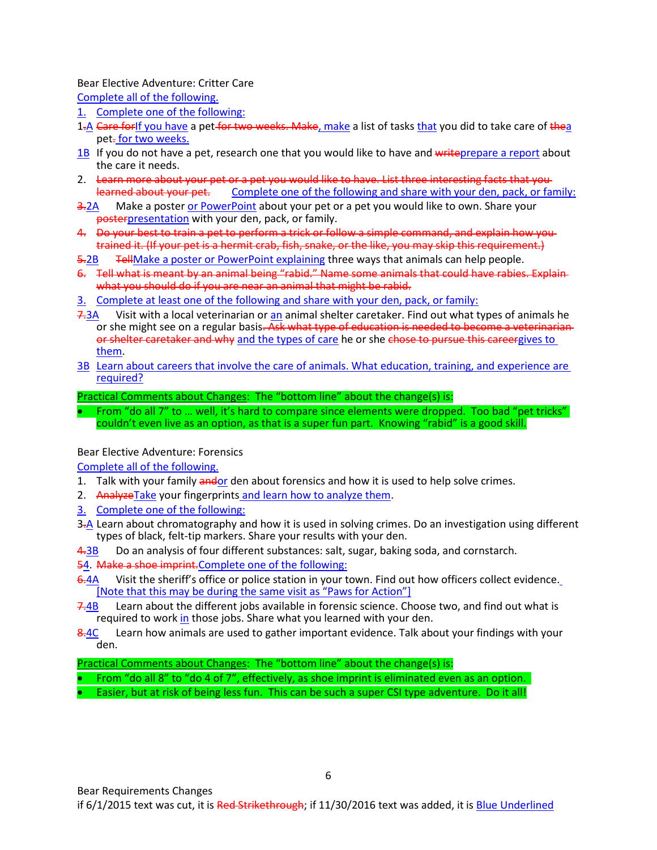#### Bear Elective Adventure: Critter Care

Complete all of the following.

- 1. Complete one of the following:
- 1.A Care for If you have a pet for two weeks. Make, make a list of tasks that you did to take care of thea pet-for two weeks.
- 1B If you do not have a pet, research one that you would like to have and writeprepare a report about the care it needs.
- 2. Learn more about your pet or a pet you would like to have. List three interesting facts that you learned about your pet. Complete one of the following and share with your den, pack, or family:
- 3.2A Make a poster or PowerPoint about your pet or a pet you would like to own. Share your posterpresentation with your den, pack, or family.
- 4. Do your best to train a pet to perform a trick or follow a simple command, and explain how you trained it. (If your pet is a hermit crab, fish, snake, or the like, you may skip this requirement.)
- 5.2B TellMake a poster or PowerPoint explaining three ways that animals can help people.
- 6. Tell what is meant by an animal being "rabid." Name some animals that could have rabies. Explain what you should do if you are near an animal that might be rabid.
- 3. Complete at least one of the following and share with your den, pack, or family:
- 7.3A Visit with a local veterinarian or an animal shelter caretaker. Find out what types of animals he or she might see on a regular basis<del>. Ask what type of education is needed to become a veterinarian</del> or shelter caretaker and why and the types of care he or she chose to pursue this careergives to them.
- 3B Learn about careers that involve the care of animals. What education, training, and experience are required?

Practical Comments about Changes: The "bottom line" about the change(s) is:

• From "do all 7" to ... well, it's hard to compare since elements were dropped. Too bad "pet tricks" couldn't even live as an option, as that is a super fun part. Knowing "rabid" is a good skill.

#### Bear Elective Adventure: Forensics

Complete all of the following.

- 1. Talk with your family andor den about forensics and how it is used to help solve crimes.
- 2. Analyze Take your fingerprints and learn how to analyze them.
- 3. Complete one of the following:
- 3<sup>-</sup> A Learn about chromatography and how it is used in solving crimes. Do an investigation using different types of black, felt-tip markers. Share your results with your den.
- 4.3B Do an analysis of four different substances: salt, sugar, baking soda, and cornstarch.
- 54. Make a shoe imprint.Complete one of the following:
- 6.4A Visit the sheriff's office or police station in your town. Find out how officers collect evidence. [Note that this may be during the same visit as "Paws for Action"]
- 7.4B Learn about the different jobs available in forensic science. Choose two, and find out what is required to work in those jobs. Share what you learned with your den.
- 8.4C Learn how animals are used to gather important evidence. Talk about your findings with your den.

# Practical Comments about Changes: The "bottom line" about the change(s) is:

- From "do all 8" to "do 4 of 7", effectively, as shoe imprint is eliminated even as an option.
- Easier, but at risk of being less fun. This can be such a super CSI type adventure. Do it all!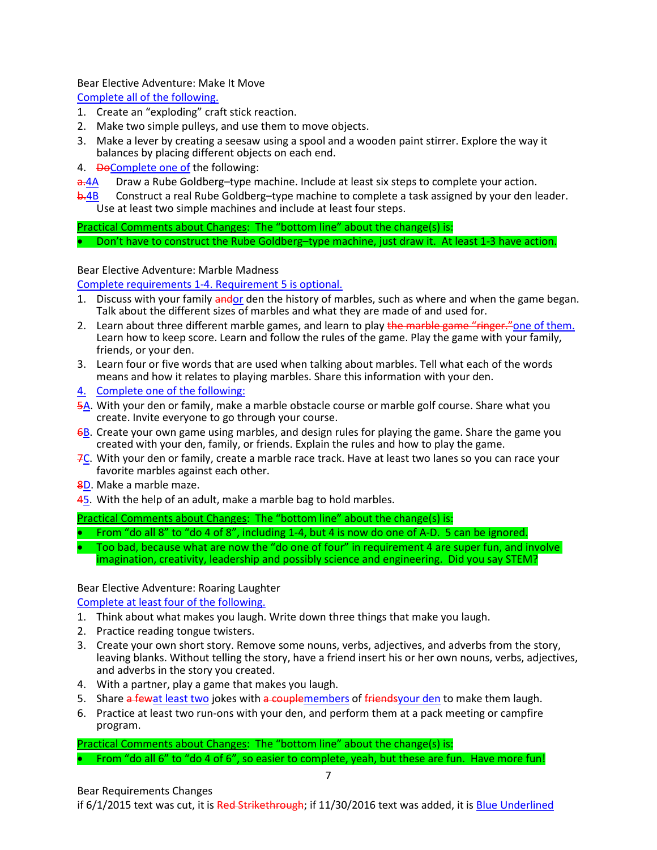Bear Elective Adventure: Make It Move

Complete all of the following.

- 1. Create an "exploding" craft stick reaction.
- 2. Make two simple pulleys, and use them to move objects.
- 3. Make a lever by creating a seesaw using a spool and a wooden paint stirrer. Explore the way it balances by placing different objects on each end.
- 4. DeComplete one of the following:
- a.4A Draw a Rube Goldberg–type machine. Include at least six steps to complete your action.
- b. 4B Construct a real Rube Goldberg–type machine to complete a task assigned by your den leader. Use at least two simple machines and include at least four steps.

Practical Comments about Changes: The "bottom line" about the change(s) is:

• Don't have to construct the Rube Goldberg–type machine, just draw it. At least 1-3 have action.

Bear Elective Adventure: Marble Madness

Complete requirements 1-4. Requirement 5 is optional.

- 1. Discuss with your family andor den the history of marbles, such as where and when the game began. Talk about the different sizes of marbles and what they are made of and used for.
- 2. Learn about three different marble games, and learn to play the marble game "ringer." one of them. Learn how to keep score. Learn and follow the rules of the game. Play the game with your family, friends, or your den.
- 3. Learn four or five words that are used when talking about marbles. Tell what each of the words means and how it relates to playing marbles. Share this information with your den.
- 4. Complete one of the following:
- 5A. With your den or family, make a marble obstacle course or marble golf course. Share what you create. Invite everyone to go through your course.
- 6B. Create your own game using marbles, and design rules for playing the game. Share the game you created with your den, family, or friends. Explain the rules and how to play the game.
- 7C. With your den or family, create a marble race track. Have at least two lanes so you can race your favorite marbles against each other.
- 8D. Make a marble maze.
- 45. With the help of an adult, make a marble bag to hold marbles.

Practical Comments about Changes: The "bottom line" about the change(s) is:

- From "do all 8" to "do 4 of 8", including 1-4, but 4 is now do one of A-D. 5 can be ignored.
- Too bad, because what are now the "do one of four" in requirement 4 are super fun, and involve imagination, creativity, leadership and possibly science and engineering. Did you say STEM?

# Bear Elective Adventure: Roaring Laughter

Complete at least four of the following.

- 1. Think about what makes you laugh. Write down three things that make you laugh.
- 2. Practice reading tongue twisters.
- 3. Create your own short story. Remove some nouns, verbs, adjectives, and adverbs from the story, leaving blanks. Without telling the story, have a friend insert his or her own nouns, verbs, adjectives, and adverbs in the story you created.
- 4. With a partner, play a game that makes you laugh.
- 5. Share a fewat least two jokes with a couplemembers of friends your den to make them laugh.
- 6. Practice at least two run-ons with your den, and perform them at a pack meeting or campfire program.

Practical Comments about Changes: The "bottom line" about the change(s) is: • From "do all 6" to "do 4 of 6", so easier to complete, yeah, but these are fun. Have more fun!

Bear Requirements Changes if 6/1/2015 text was cut, it is Red Strikethrough; if 11/30/2016 text was added, it is Blue Underlined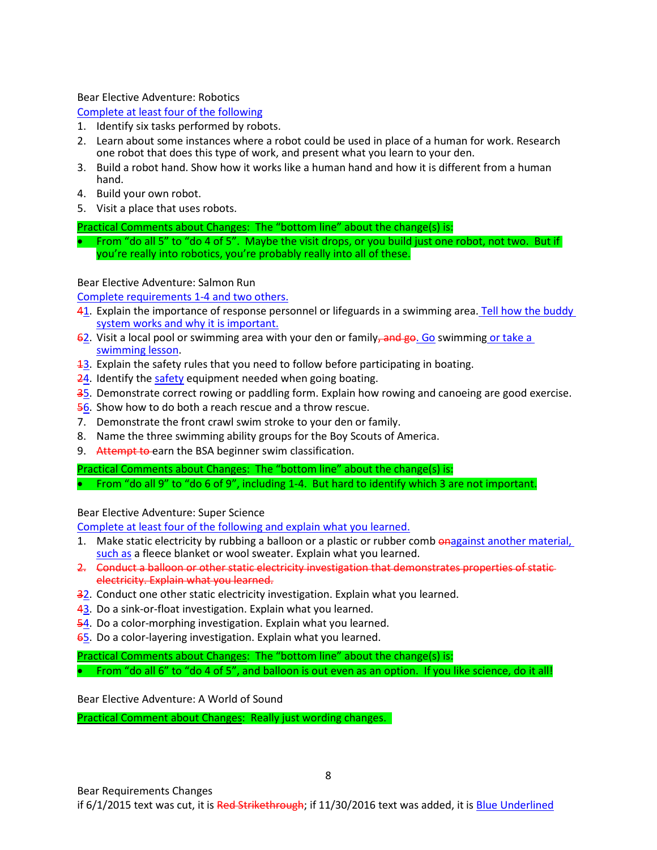Bear Elective Adventure: Robotics

# Complete at least four of the following

- 1. Identify six tasks performed by robots.
- 2. Learn about some instances where a robot could be used in place of a human for work. Research one robot that does this type of work, and present what you learn to your den.
- 3. Build a robot hand. Show how it works like a human hand and how it is different from a human hand.
- 4. Build your own robot.
- 5. Visit a place that uses robots.

Practical Comments about Changes: The "bottom line" about the change(s) is:

• From "do all 5" to "do 4 of 5". Maybe the visit drops, or you build just one robot, not two. But if you're really into robotics, you're probably really into all of these.

Bear Elective Adventure: Salmon Run

Complete requirements 1-4 and two others.

- 41. Explain the importance of response personnel or lifeguards in a swimming area. Tell how the buddy system works and why it is important.
- $62.$  Visit a local pool or swimming area with your den or family, and go. Go swimming or take a swimming lesson.
- 13. Explain the safety rules that you need to follow before participating in boating.
- 24. Identify the safety equipment needed when going boating.
- 35. Demonstrate correct rowing or paddling form. Explain how rowing and canoeing are good exercise.
- 56. Show how to do both a reach rescue and a throw rescue.
- 7. Demonstrate the front crawl swim stroke to your den or family.
- 8. Name the three swimming ability groups for the Boy Scouts of America.
- 9. Attempt to earn the BSA beginner swim classification.

Practical Comments about Changes: The "bottom line" about the change(s) is:

• From "do all 9" to "do 6 of 9", including 1-4. But hard to identify which 3 are not important.

Bear Elective Adventure: Super Science

Complete at least four of the following and explain what you learned.

- 1. Make static electricity by rubbing a balloon or a plastic or rubber comb onagainst another material, such as a fleece blanket or wool sweater. Explain what you learned.
- 2. Conduct a balloon or other static electricity investigation that demonstrates properties of static electricity. Explain what you learned.
- 32. Conduct one other static electricity investigation. Explain what you learned.
- 43. Do a sink-or-float investigation. Explain what you learned.
- 54. Do a color-morphing investigation. Explain what you learned.
- 65. Do a color-layering investigation. Explain what you learned.

Practical Comments about Changes: The "bottom line" about the change(s) is: • From "do all 6" to "do 4 of 5", and balloon is out even as an option. If you like science, do it all!

Bear Elective Adventure: A World of Sound

Practical Comment about Changes: Really just wording changes.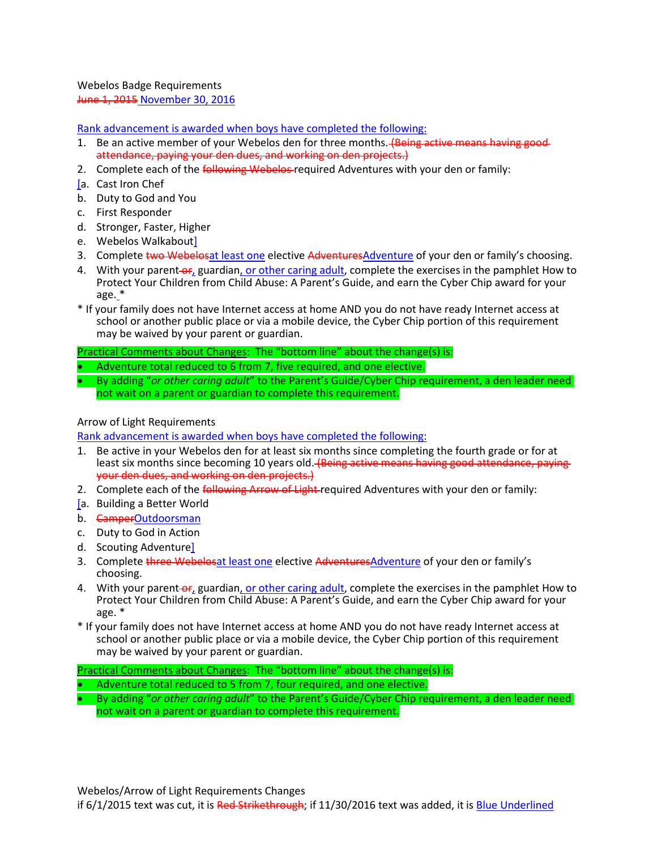Webelos Badge Requirements June 1, 2015 November 30, 2016

Rank advancement is awarded when boys have completed the following:

- 1. Be an active member of your Webelos den for three months. (Being active means having goodattendance, paying your den dues, and working on den projects.)
- 2. Complete each of the **following Webelos** required Adventures with your den or family:
- [a. Cast Iron Chef
- b. Duty to God and You
- c. First Responder
- d. Stronger, Faster, Higher
- e. Webelos Walkabout]
- 3. Complete two Webelosat least one elective AdventuresAdventure of your den or family's choosing.
- 4. With your parent-or, guardian, or other caring adult, complete the exercises in the pamphlet How to Protect Your Children from Child Abuse: A Parent's Guide, and earn the Cyber Chip award for your age. \*
- \* If your family does not have Internet access at home AND you do not have ready Internet access at school or another public place or via a mobile device, the Cyber Chip portion of this requirement may be waived by your parent or guardian.

Practical Comments about Changes: The "bottom line" about the change(s) is:

- Adventure total reduced to 6 from 7, five required, and one elective.
- By adding "*or other caring adult*" to the Parent's Guide/Cyber Chip requirement, a den leader need not wait on a parent or guardian to complete this requirement.

#### Arrow of Light Requirements

Rank advancement is awarded when boys have completed the following:

- 1. Be active in your Webelos den for at least six months since completing the fourth grade or for at least six months since becoming 10 years old. (Being active means having good attendance, paying your den dues, and working on den projects.)
- 2. Complete each of the *following Arrow of Light-required Adventures with your den or family:*
- [a. Building a Better World
- b. CamperOutdoorsman
- c. Duty to God in Action
- d. Scouting Adventure]
- 3. Complete three Webelosat least one elective AdventuresAdventure of your den or family's choosing.
- 4. With your parent-or, guardian, or other caring adult, complete the exercises in the pamphlet How to Protect Your Children from Child Abuse: A Parent's Guide, and earn the Cyber Chip award for your age. \*
- \* If your family does not have Internet access at home AND you do not have ready Internet access at school or another public place or via a mobile device, the Cyber Chip portion of this requirement may be waived by your parent or guardian.

Practical Comments about Changes: The "bottom line" about the change(s) is:

- Adventure total reduced to 5 from 7, four required, and one elective.
- By adding "*or other caring adult*" to the Parent's Guide/Cyber Chip requirement, a den leader need not wait on a parent or guardian to complete this requirement.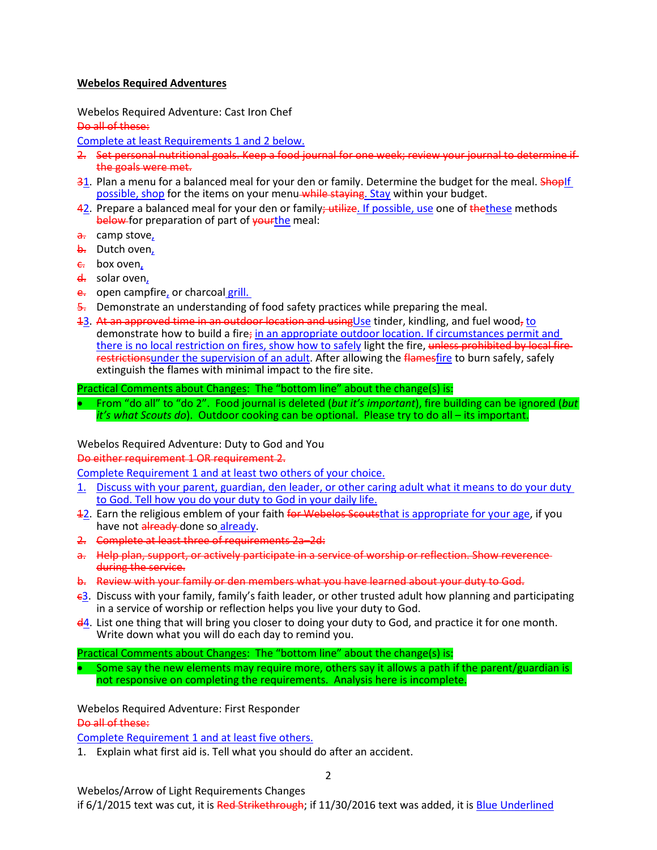#### **Webelos Required Adventures**

Webelos Required Adventure: Cast Iron Chef

Do all of these:

Complete at least Requirements 1 and 2 below.

- 2. Set personal nutritional goals. Keep a food journal for one week; review your journal to determine if the goals were met.
- 31. Plan a menu for a balanced meal for your den or family. Determine the budget for the meal. Shopif possible, shop for the items on your menu while staying. Stay within your budget.
- 42. Prepare a balanced meal for your den or family: utilize. If possible, use one of thethese methods below for preparation of part of yourthe meal:
- a. camp stove,
- b. Dutch oven,
- $\epsilon$ . box oven,
- d. solar oven,
- e. open campfire, or charcoal grill.
- 5. Demonstrate an understanding of food safety practices while preparing the meal.
- 13. At an approved time in an outdoor location and using Use tinder, kindling, and fuel wood, to demonstrate how to build a fire; in an appropriate outdoor location. If circumstances permit and there is no local restriction on fires, show how to safely light the fire, unless prohibited by local fire restrictionsunder the supervision of an adult. After allowing the flamesfire to burn safely, safely extinguish the flames with minimal impact to the fire site.

Practical Comments about Changes: The "bottom line" about the change(s) is:

• From "do all" to "do 2". Food journal is deleted (*but it's important*), fire building can be ignored (*but it's what Scouts do*). Outdoor cooking can be optional. Please try to do all – its important.

Webelos Required Adventure: Duty to God and You

Do either requirement 1 OR requirement 2.

Complete Requirement 1 and at least two others of your choice.

- 1. Discuss with your parent, guardian, den leader, or other caring adult what it means to do your duty to God. Tell how you do your duty to God in your daily life.
- 12. Earn the religious emblem of your faith for Webelos Scoutsthat is appropriate for your age, if you have not already done so already.
- 2. Complete at least three of requirements 2a–2d:
- a. Help plan, support, or actively participate in a service of worship or reflection. Show reverence during the service.
- b. Review with your family or den members what you have learned about your duty to God.
- $\epsilon$ 3. Discuss with your family, family's faith leader, or other trusted adult how planning and participating in a service of worship or reflection helps you live your duty to God.
- d4. List one thing that will bring you closer to doing your duty to God, and practice it for one month. Write down what you will do each day to remind you.

Practical Comments about Changes: The "bottom line" about the change(s) is:

• Some say the new elements may require more, others say it allows a path if the parent/guardian is not responsive on completing the requirements. Analysis here is incomplete.

Webelos Required Adventure: First Responder

Do all of these:

Complete Requirement 1 and at least five others.

1. Explain what first aid is. Tell what you should do after an accident.

Webelos/Arrow of Light Requirements Changes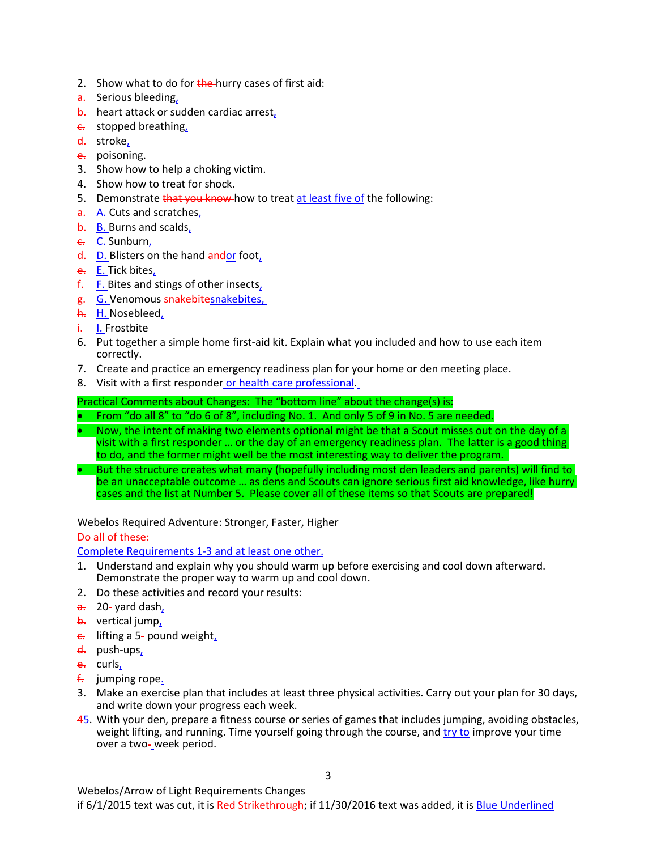- 2. Show what to do for  $t$ he-hurry cases of first aid:
- a. Serious bleeding,
- b. heart attack or sudden cardiac arrest,
- **e.** stopped breathing,
- d. stroke,
- e. poisoning.
- 3. Show how to help a choking victim.
- 4. Show how to treat for shock.
- 5. Demonstrate that you know how to treat at least five of the following:
- $\frac{a}{a}$ . A. Cuts and scratches,
- b. B. Burns and scalds,
- c. C. Sunburn,
- d. D. Blisters on the hand and or foot,
- e. E. Tick bites,
- $f.$  F. Bites and stings of other insects,
- g. G. Venomous snakebitesnakebites,
- h. H. Nosebleed,
- i. I. Frostbite
- 6. Put together a simple home first-aid kit. Explain what you included and how to use each item correctly.
- 7. Create and practice an emergency readiness plan for your home or den meeting place.
- 8. Visit with a first responder or health care professional.

- From "do all 8" to "do 6 of 8", including No. 1. And only 5 of 9 in No. 5 are needed.
- Now, the intent of making two elements optional might be that a Scout misses out on the day of a visit with a first responder … or the day of an emergency readiness plan. The latter is a good thing to do, and the former might well be the most interesting way to deliver the program.
- But the structure creates what many (hopefully including most den leaders and parents) will find to be an unacceptable outcome … as dens and Scouts can ignore serious first aid knowledge, like hurry cases and the list at Number 5. Please cover all of these items so that Scouts are prepared!

Webelos Required Adventure: Stronger, Faster, Higher

# Do all of these:

Complete Requirements 1-3 and at least one other.

- 1. Understand and explain why you should warm up before exercising and cool down afterward. Demonstrate the proper way to warm up and cool down.
- 2. Do these activities and record your results:
- $\frac{a}{a}$  20- yard dash,
- b. vertical jump,
- $\epsilon$ . lifting a 5- pound weight,
- d. push-ups,
- e. curls,
- $f<sub>1</sub>$  jumping rope.
- 3. Make an exercise plan that includes at least three physical activities. Carry out your plan for 30 days, and write down your progress each week.
- 45. With your den, prepare a fitness course or series of games that includes jumping, avoiding obstacles, weight lifting, and running. Time yourself going through the course, and try to improve your time over a two-week period.

Webelos/Arrow of Light Requirements Changes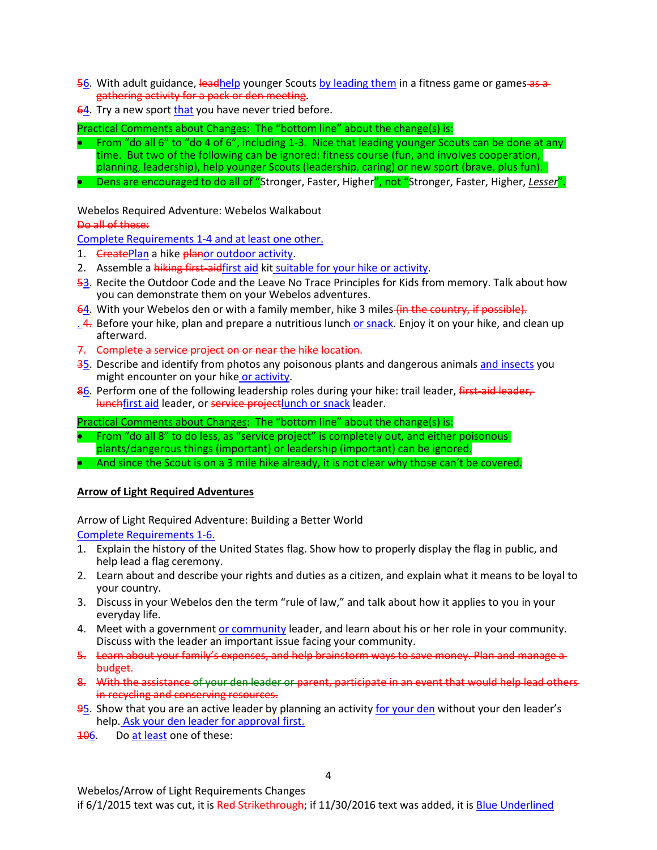- 56. With adult guidance, leadhelp younger Scouts by leading them in a fitness game or games as a gathering activity for a pack or den meeting.
- 64. Try a new sport that you have never tried before.

- From "do all 6" to "do 4 of 6", including 1-3. Nice that leading younger Scouts can be done at any time. But two of the following can be ignored: fitness course (fun, and involves cooperation, planning, leadership), help younger Scouts (leadership, caring) or new sport (brave, plus fun).
- Dens are encouraged to do all of "Stronger, Faster, Higher", not "Stronger, Faster, Higher, *Lesser*".

Webelos Required Adventure: Webelos Walkabout

Do all of these:

Complete Requirements 1-4 and at least one other.

- 1. CreatePlan a hike planor outdoor activity.
- 2. Assemble a hiking first-aidfirst aid kit suitable for your hike or activity.
- 53. Recite the Outdoor Code and the Leave No Trace Principles for Kids from memory. Talk about how you can demonstrate them on your Webelos adventures.
- 64. With your Webelos den or with a family member, hike 3 miles (in the country, if possible).
- .  $4.$  Before your hike, plan and prepare a nutritious lunch or snack. Enjoy it on your hike, and clean up afterward.
- 7. Complete a service project on or near the hike location.
- 35. Describe and identify from photos any poisonous plants and dangerous animals and insects you might encounter on your hike or activity.
- 86. Perform one of the following leadership roles during your hike: trail leader, first-aid-leader, lunchfirst aid leader, or service projectlunch or snack leader.

Practical Comments about Changes: The "bottom line" about the change(s) is:

- From "do all 8" to do less, as "service project" is completely out, and either poisonous plants/dangerous things (important) or leadership (important) can be ignored.
- And since the Scout is on a 3 mile hike already, it is not clear why those can't be covered.

# **Arrow of Light Required Adventures**

Arrow of Light Required Adventure: Building a Better World

Complete Requirements 1-6.

- 1. Explain the history of the United States flag. Show how to properly display the flag in public, and help lead a flag ceremony.
- 2. Learn about and describe your rights and duties as a citizen, and explain what it means to be loyal to your country.
- 3. Discuss in your Webelos den the term "rule of law," and talk about how it applies to you in your everyday life.
- 4. Meet with a government or community leader, and learn about his or her role in your community. Discuss with the leader an important issue facing your community.
- 5. Learn about your family's expenses, and help brainstorm ways to save money. Plan and manage a budget.
- 8. With the assistance of your den leader or parent, participate in an event that would help lead others in recycling and conserving resources.
- 95. Show that you are an active leader by planning an activity for your den without your den leader's help. Ask your den leader for approval first.
- **106.** Do at least one of these:

Webelos/Arrow of Light Requirements Changes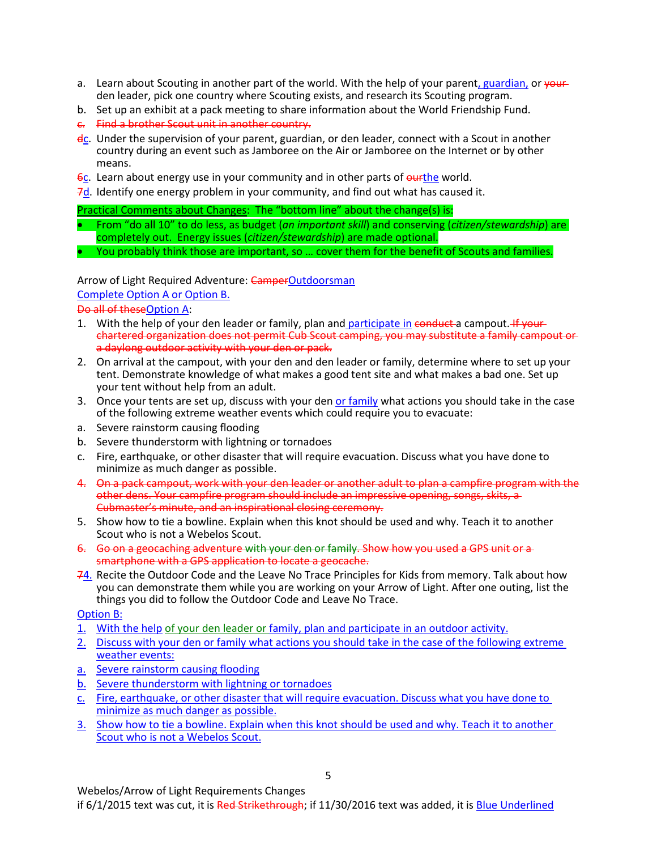- a. Learn about Scouting in another part of the world. With the help of your parent, guardian, or your den leader, pick one country where Scouting exists, and research its Scouting program.
- b. Set up an exhibit at a pack meeting to share information about the World Friendship Fund.
- c. Find a brother Scout unit in another country.
- dc. Under the supervision of your parent, guardian, or den leader, connect with a Scout in another country during an event such as Jamboree on the Air or Jamboree on the Internet or by other means.
- 6c. Learn about energy use in your community and in other parts of ourthe world.
- 7d. Identify one energy problem in your community, and find out what has caused it.

- From "do all 10" to do less, as budget (*an important skill*) and conserving (*citizen/stewardship*) are completely out. Energy issues (*citizen/stewardship*) are made optional.
- You probably think those are important, so … cover them for the benefit of Scouts and families.

Arrow of Light Required Adventure: CamperOutdoorsman

Complete Option A or Option B.

Do all of theseOption A:

- 1. With the help of your den leader or family, plan and participate in conduct a campout. If your chartered organization does not permit Cub Scout camping, you may substitute a family campout or a daylong outdoor activity with your den or pack.
- 2. On arrival at the campout, with your den and den leader or family, determine where to set up your tent. Demonstrate knowledge of what makes a good tent site and what makes a bad one. Set up your tent without help from an adult.
- 3. Once your tents are set up, discuss with your den or family what actions you should take in the case of the following extreme weather events which could require you to evacuate:
- a. Severe rainstorm causing flooding
- b. Severe thunderstorm with lightning or tornadoes
- c. Fire, earthquake, or other disaster that will require evacuation. Discuss what you have done to minimize as much danger as possible.
- 4. On a pack campout, work with your den leader or another adult to plan a campfire program with the other dens. Your campfire program should include an impressive opening, songs, skits, a Cubmaster's minute, and an inspirational closing ceremony.
- 5. Show how to tie a bowline. Explain when this knot should be used and why. Teach it to another Scout who is not a Webelos Scout.
- 6. Go on a geocaching adventure with your den or family. Show how you used a GPS unit or a smartphone with a GPS application to locate a geocache.
- 74. Recite the Outdoor Code and the Leave No Trace Principles for Kids from memory. Talk about how you can demonstrate them while you are working on your Arrow of Light. After one outing, list the things you did to follow the Outdoor Code and Leave No Trace.

Option B:

- 1. With the help of your den leader or family, plan and participate in an outdoor activity.
- 2. Discuss with your den or family what actions you should take in the case of the following extreme weather events:
- a. Severe rainstorm causing flooding
- b. Severe thunderstorm with lightning or tornadoes
- c. Fire, earthquake, or other disaster that will require evacuation. Discuss what you have done to minimize as much danger as possible.
- 3. Show how to tie a bowline. Explain when this knot should be used and why. Teach it to another Scout who is not a Webelos Scout.

Webelos/Arrow of Light Requirements Changes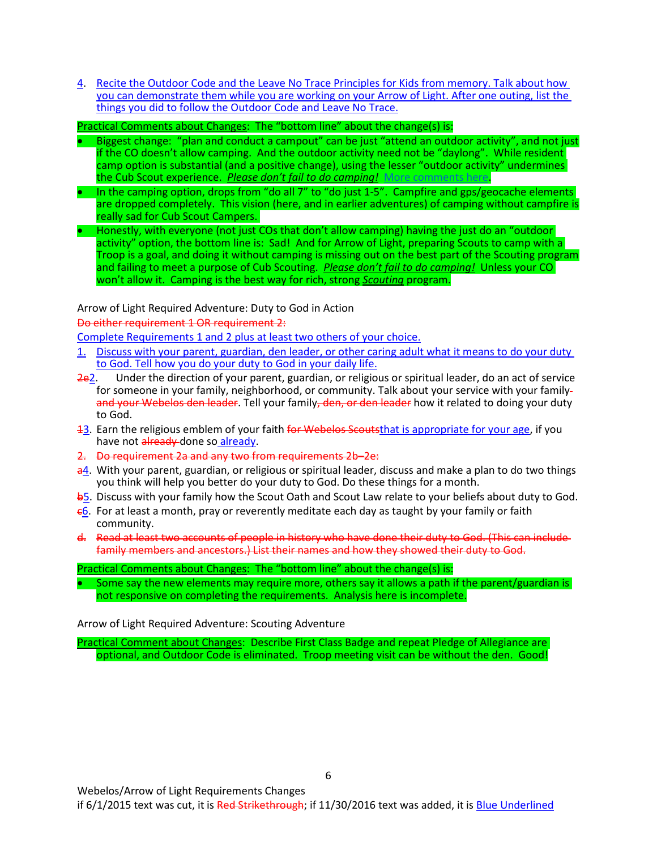4. Recite the Outdoor Code and the Leave No Trace Principles for Kids from memory. Talk about how you can demonstrate them while you are working on your Arrow of Light. After one outing, list the things you did to follow the Outdoor Code and Leave No Trace.

Practical Comments about Changes: The "bottom line" about the change(s) is:

- Biggest change: "plan and conduct a campout" can be just "attend an outdoor activity", and not just if the CO doesn't allow camping. And the outdoor activity need not be "daylong". While resident camp option is substantial (and a positive change), using the lesser "outdoor activity" undermines the Cub Scout experience. *Please don't fail to do camping!* [More comments here](http://www.southfultonscouting.com/node/3564).
- In the camping option, drops from "do all 7" to "do just 1-5". Campfire and gps/geocache elements are dropped completely. This vision (here, and in earlier adventures) of camping without campfire is really sad for Cub Scout Campers.
- Honestly, with everyone (not just COs that don't allow camping) having the just do an "outdoor activity" option, the bottom line is: Sad! And for Arrow of Light, preparing Scouts to camp with a Troop is a goal, and doing it without camping is missing out on the best part of the Scouting program and failing to meet a purpose of Cub Scouting. *Please don't fail to do camping!* Unless your CO won't allow it. Camping is the best way for rich, strong *Scouting* program.

Arrow of Light Required Adventure: Duty to God in Action

Do either requirement 1 OR requirement 2:

Complete Requirements 1 and 2 plus at least two others of your choice.

- 1. Discuss with your parent, guardian, den leader, or other caring adult what it means to do your duty to God. Tell how you do your duty to God in your daily life.
- 2e2. Under the direction of your parent, guardian, or religious or spiritual leader, do an act of service for someone in your family, neighborhood, or community. Talk about your service with your family and your Webelos den leader. Tell your family, den, or den leader how it related to doing your duty to God.
- 13. Earn the religious emblem of your faith for Webelos Scouts that is appropriate for your age, if you have not already done so already.
- 2. Do requirement 2a and any two from requirements 2b–2e:
- $a<sup>4</sup>$ . With your parent, guardian, or religious or spiritual leader, discuss and make a plan to do two things you think will help you better do your duty to God. Do these things for a month.
- **b**5. Discuss with your family how the Scout Oath and Scout Law relate to your beliefs about duty to God.
- $\epsilon$ 6. For at least a month, pray or reverently meditate each day as taught by your family or faith community.
- d. Read at least two accounts of people in history who have done their duty to God. (This can include family members and ancestors.) List their names and how they showed their duty to God.

Practical Comments about Changes: The "bottom line" about the change(s) is:

Some say the new elements may require more, others say it allows a path if the parent/guardian is not responsive on completing the requirements. Analysis here is incomplete.

Arrow of Light Required Adventure: Scouting Adventure

Practical Comment about Changes: Describe First Class Badge and repeat Pledge of Allegiance are optional, and Outdoor Code is eliminated. Troop meeting visit can be without the den. Good!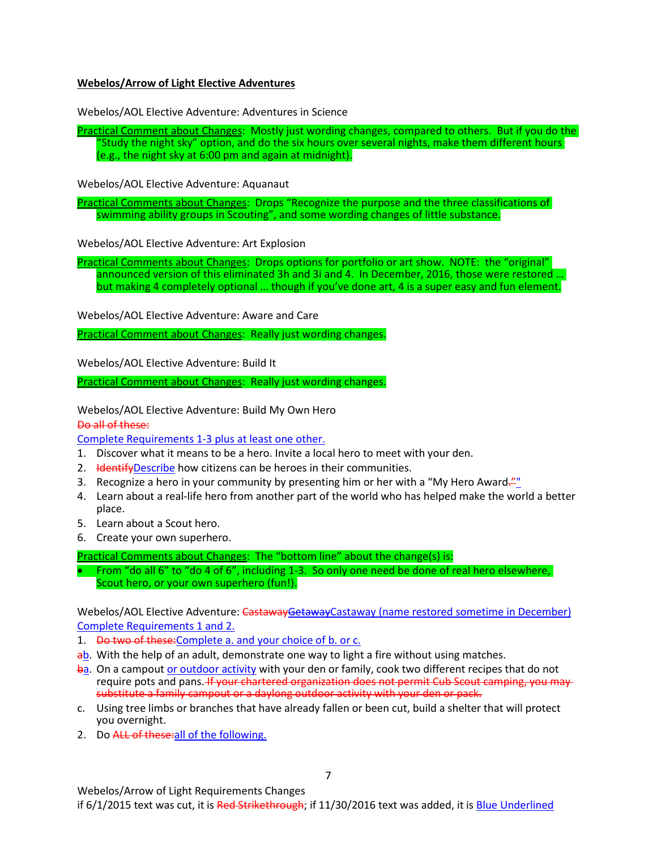# **Webelos/Arrow of Light Elective Adventures**

Webelos/AOL Elective Adventure: Adventures in Science

Practical Comment about Changes: Mostly just wording changes, compared to others. But if you do the "Study the night sky" option, and do the six hours over several nights, make them different hours (e.g., the night sky at 6:00 pm and again at midnight).

Webelos/AOL Elective Adventure: Aquanaut

Practical Comments about Changes: Drops "Recognize the purpose and the three classifications of swimming ability groups in Scouting", and some wording changes of little substance.

Webelos/AOL Elective Adventure: Art Explosion

Practical Comments about Changes: Drops options for portfolio or art show. NOTE: the "original" announced version of this eliminated 3h and 3i and 4. In December, 2016, those were restored … but making 4 completely optional … though if you've done art, 4 is a super easy and fun element.

Webelos/AOL Elective Adventure: Aware and Care

Practical Comment about Changes: Really just wording changes.

Webelos/AOL Elective Adventure: Build It

Practical Comment about Changes: Really just wording changes.

Webelos/AOL Elective Adventure: Build My Own Hero

Do all of these:

Complete Requirements 1-3 plus at least one other.

- 1. Discover what it means to be a hero. Invite a local hero to meet with your den.
- 2. Hetatify Describe how citizens can be heroes in their communities.
- 3. Recognize a hero in your community by presenting him or her with a "My Hero Award."
- 4. Learn about a real-life hero from another part of the world who has helped make the world a better place.
- 5. Learn about a Scout hero.
- 6. Create your own superhero.

Practical Comments about Changes: The "bottom line" about the change(s) is:

• From "do all 6" to "do 4 of 6", including 1-3. So only one need be done of real hero elsewhere, Scout hero, or your own superhero (fun!).

Webelos/AOL Elective Adventure: CastawayGetawayCastaway (name restored sometime in December) Complete Requirements 1 and 2.

- 1. Do two of these: Complete a. and your choice of b. or c.
- ab. With the help of an adult, demonstrate one way to light a fire without using matches.
- ba. On a campout or outdoor activity with your den or family, cook two different recipes that do not require pots and pans. If your chartered organization does not permit Cub Scout camping, you may substitute a family campout or a daylong outdoor activity with your den or pack.
- c. Using tree limbs or branches that have already fallen or been cut, build a shelter that will protect you overnight.
- 2. Do ALL of these: all of the following.

Webelos/Arrow of Light Requirements Changes if 6/1/2015 text was cut, it is Red Strikethrough; if 11/30/2016 text was added, it is Blue Underlined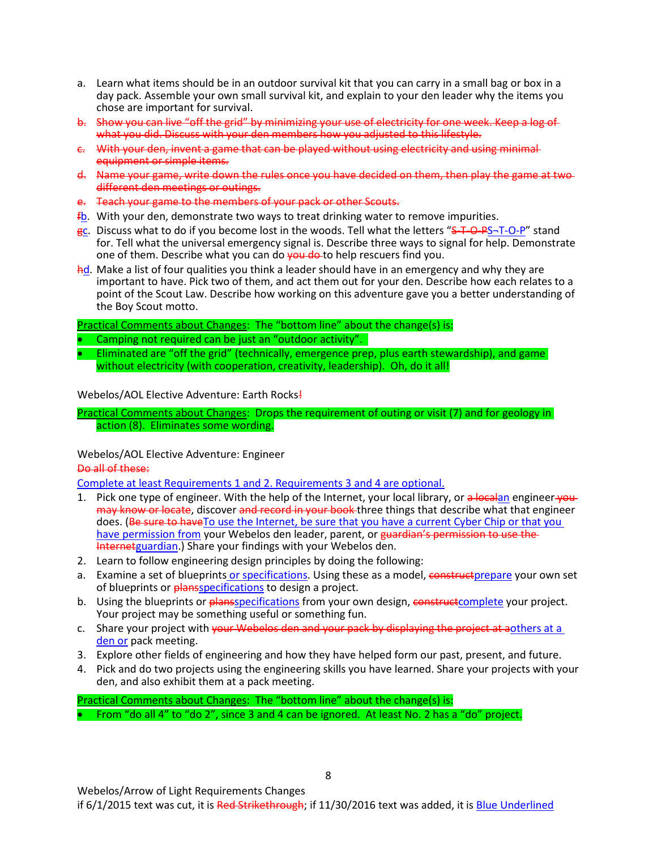- a. Learn what items should be in an outdoor survival kit that you can carry in a small bag or box in a day pack. Assemble your own small survival kit, and explain to your den leader why the items you chose are important for survival.
- b. Show you can live "off the grid" by minimizing your use of electricity for one week. Keep a log of what you did. Discuss with your den members how you adjusted to this lifestyle.
- c. With your den, invent a game that can be played without using electricity and using minimal equipment or simple items.
- d. Name your game, write down the rules once you have decided on them, then play the game at two different den meetings or outings.
- e. Teach your game to the members of your pack or other Scouts.
- $f_{\rm b}$ . With your den, demonstrate two ways to treat drinking water to remove impurities.
- gc. Discuss what to do if you become lost in the woods. Tell what the letters "S-T-O-P-S-T-O-P" stand for. Tell what the universal emergency signal is. Describe three ways to signal for help. Demonstrate one of them. Describe what you can do vou do to help rescuers find you.
- hd. Make a list of four qualities you think a leader should have in an emergency and why they are important to have. Pick two of them, and act them out for your den. Describe how each relates to a point of the Scout Law. Describe how working on this adventure gave you a better understanding of the Boy Scout motto.

- Camping not required can be just an "outdoor activity".
- Eliminated are "off the grid" (technically, emergence prep, plus earth stewardship), and game without electricity (with cooperation, creativity, leadership). Oh, do it all!

#### Webelos/AOL Elective Adventure: Earth Rocks!

Practical Comments about Changes: Drops the requirement of outing or visit (7) and for geology in action (8). Eliminates some wording.

Webelos/AOL Elective Adventure: Engineer

Do all of these:

Complete at least Requirements 1 and 2. Requirements 3 and 4 are optional.

- 1. Pick one type of engineer. With the help of the Internet, your local library, or a local an engineer  $\frac{1}{2}$ may know or locate, discover and record in your book three things that describe what that engineer does. (Be sure to have To use the Internet, be sure that you have a current Cyber Chip or that you have permission from your Webelos den leader, parent, or guardian's permission to use the Internetguardian.) Share your findings with your Webelos den.
- 2. Learn to follow engineering design principles by doing the following:
- a. Examine a set of blueprints or specifications. Using these as a model, constructprepare your own set of blueprints or plansspecifications to design a project.
- b. Using the blueprints or plansspecifications from your own design, construct complete your project. Your project may be something useful or something fun.
- c. Share your project with vour Webelos den and your pack by displaying the project at aothers at a den or pack meeting.
- 3. Explore other fields of engineering and how they have helped form our past, present, and future.
- 4. Pick and do two projects using the engineering skills you have learned. Share your projects with your den, and also exhibit them at a pack meeting.

Practical Comments about Changes: The "bottom line" about the change(s) is: • From "do all 4" to "do 2", since 3 and 4 can be ignored. At least No. 2 has a "do" project.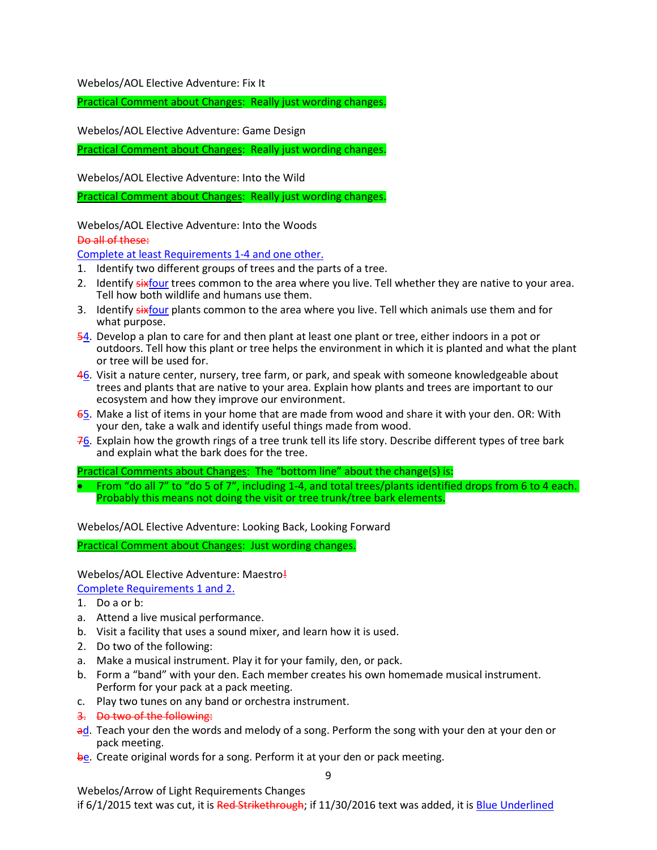Webelos/AOL Elective Adventure: Fix It

Practical Comment about Changes: Really just wording changes.

Webelos/AOL Elective Adventure: Game Design

Practical Comment about Changes: Really just wording changes.

Webelos/AOL Elective Adventure: Into the Wild

Practical Comment about Changes: Really just wording changes.

Webelos/AOL Elective Adventure: Into the Woods Do all of these:

Complete at least Requirements 1-4 and one other.

- 1. Identify two different groups of trees and the parts of a tree.
- 2. Identify sixfour trees common to the area where you live. Tell whether they are native to your area. Tell how both wildlife and humans use them.
- 3. Identify sixfour plants common to the area where you live. Tell which animals use them and for what purpose.
- 54. Develop a plan to care for and then plant at least one plant or tree, either indoors in a pot or outdoors. Tell how this plant or tree helps the environment in which it is planted and what the plant or tree will be used for.
- 46. Visit a nature center, nursery, tree farm, or park, and speak with someone knowledgeable about trees and plants that are native to your area. Explain how plants and trees are important to our ecosystem and how they improve our environment.
- 65. Make a list of items in your home that are made from wood and share it with your den. OR: With your den, take a walk and identify useful things made from wood.
- 76. Explain how the growth rings of a tree trunk tell its life story. Describe different types of tree bark and explain what the bark does for the tree.

Practical Comments about Changes: The "bottom line" about the change(s) is:

• From "do all 7" to "do 5 of 7", including 1-4, and total trees/plants identified drops from 6 to 4 each. Probably this means not doing the visit or tree trunk/tree bark elements.

Webelos/AOL Elective Adventure: Looking Back, Looking Forward

Practical Comment about Changes: Just wording changes.

#### Webelos/AOL Elective Adventure: Maestro!

Complete Requirements 1 and 2.

- 1. Do a or b:
- a. Attend a live musical performance.
- b. Visit a facility that uses a sound mixer, and learn how it is used.
- 2. Do two of the following:
- a. Make a musical instrument. Play it for your family, den, or pack.
- b. Form a "band" with your den. Each member creates his own homemade musical instrument. Perform for your pack at a pack meeting.
- c. Play two tunes on any band or orchestra instrument.
- 3. Do two of the following:
- ad. Teach your den the words and melody of a song. Perform the song with your den at your den or pack meeting.
- be. Create original words for a song. Perform it at your den or pack meeting.

9

Webelos/Arrow of Light Requirements Changes if 6/1/2015 text was cut, it is Red Strikethrough; if 11/30/2016 text was added, it is Blue Underlined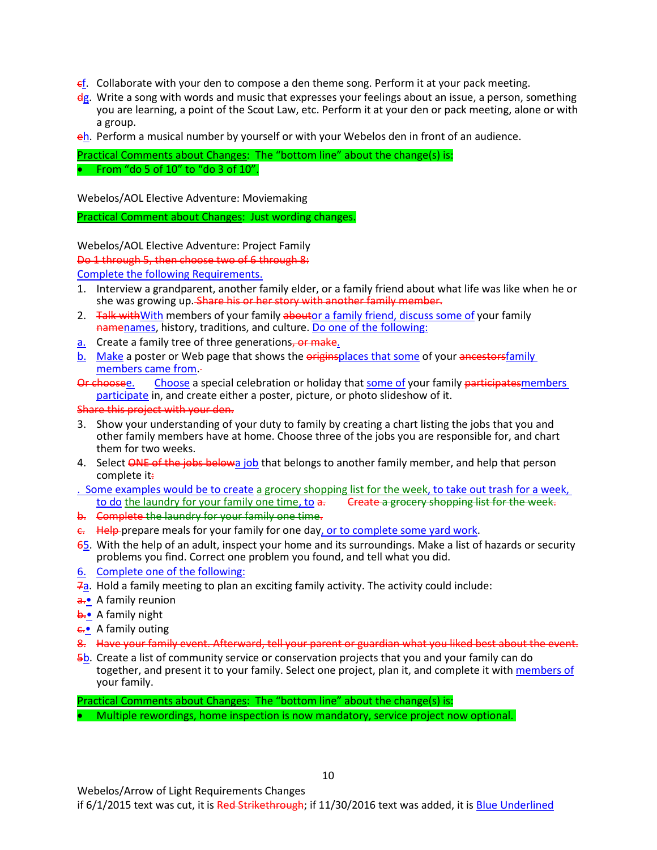- $\epsilon$ . Collaborate with your den to compose a den theme song. Perform it at your pack meeting.
- $\frac{dg}{dx}$ . Write a song with words and music that expresses your feelings about an issue, a person, something you are learning, a point of the Scout Law, etc. Perform it at your den or pack meeting, alone or with a group.
- eh. Perform a musical number by yourself or with your Webelos den in front of an audience.

Practical Comments about Changes: The "bottom line" about the change(s) is: • From "do 5 of 10" to "do 3 of 10".

Webelos/AOL Elective Adventure: Moviemaking

Practical Comment about Changes: Just wording changes.

Webelos/AOL Elective Adventure: Project Family

Do 1 through 5, then choose two of 6 through 8:

Complete the following Requirements.

- 1. Interview a grandparent, another family elder, or a family friend about what life was like when he or she was growing up. Share his or her story with another family member.
- 2. Talk with With members of your family about or a family friend, discuss some of your family namenames, history, traditions, and culture. Do one of the following:
- a. Create a family tree of three generations, or make.
- b. Make a poster or Web page that shows the originsplaces that some of your ancestorsfamily members came from.
- Or choosee. Choose a special celebration or holiday that some of your family participatesmembers participate in, and create either a poster, picture, or photo slideshow of it.
- Share this project with your den.
- 3. Show your understanding of your duty to family by creating a chart listing the jobs that you and other family members have at home. Choose three of the jobs you are responsible for, and chart them for two weeks.
- 4. Select ONE of the jobs belowa job that belongs to another family member, and help that person complete it.

. Some examples would be to create a grocery shopping list for the week, to take out trash for a week, to do the laundry for your family one time, to a. Create a grocery shopping list for the week.

- b. Complete the laundry for your family one time.
- e. Help-prepare meals for your family for one day, or to complete some yard work.
- 65. With the help of an adult, inspect your home and its surroundings. Make a list of hazards or security problems you find. Correct one problem you found, and tell what you did.
- 6. Complete one of the following:
- 7a. Hold a family meeting to plan an exciting family activity. The activity could include:
- a.• A family reunion
- **b.•** A family night
- $\epsilon$  A family outing
- 8. Have your family event. Afterward, tell your parent or guardian what you liked best about the event.
- 5b. Create a list of community service or conservation projects that you and your family can do together, and present it to your family. Select one project, plan it, and complete it with members of your family.

Practical Comments about Changes: The "bottom line" about the change(s) is: • Multiple rewordings, home inspection is now mandatory, service project now optional.

Webelos/Arrow of Light Requirements Changes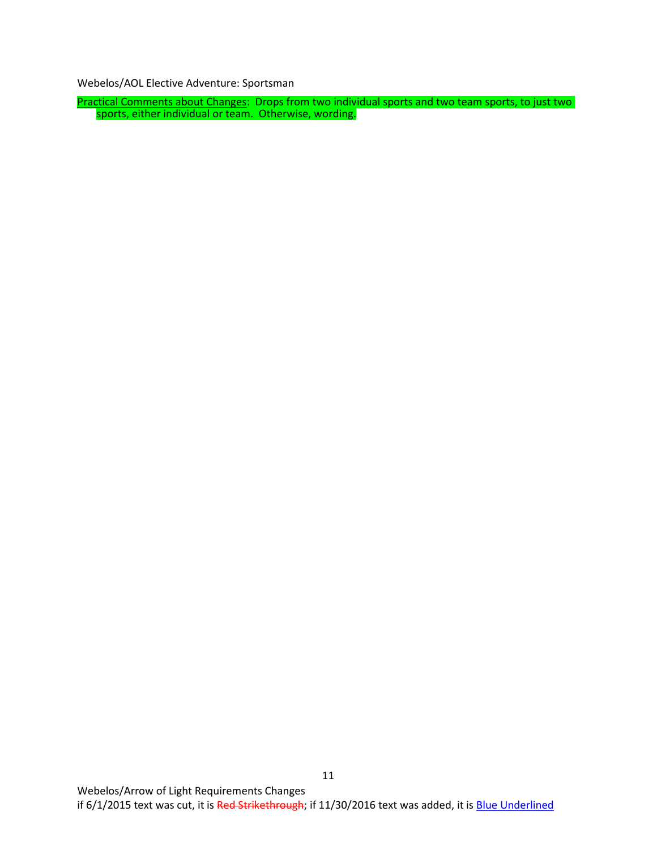Webelos/AOL Elective Adventure: Sportsman

Practical Comments about Changes: Drops from two individual sports and two team sports, to just two sports, either individual or team. Otherwise, wording.